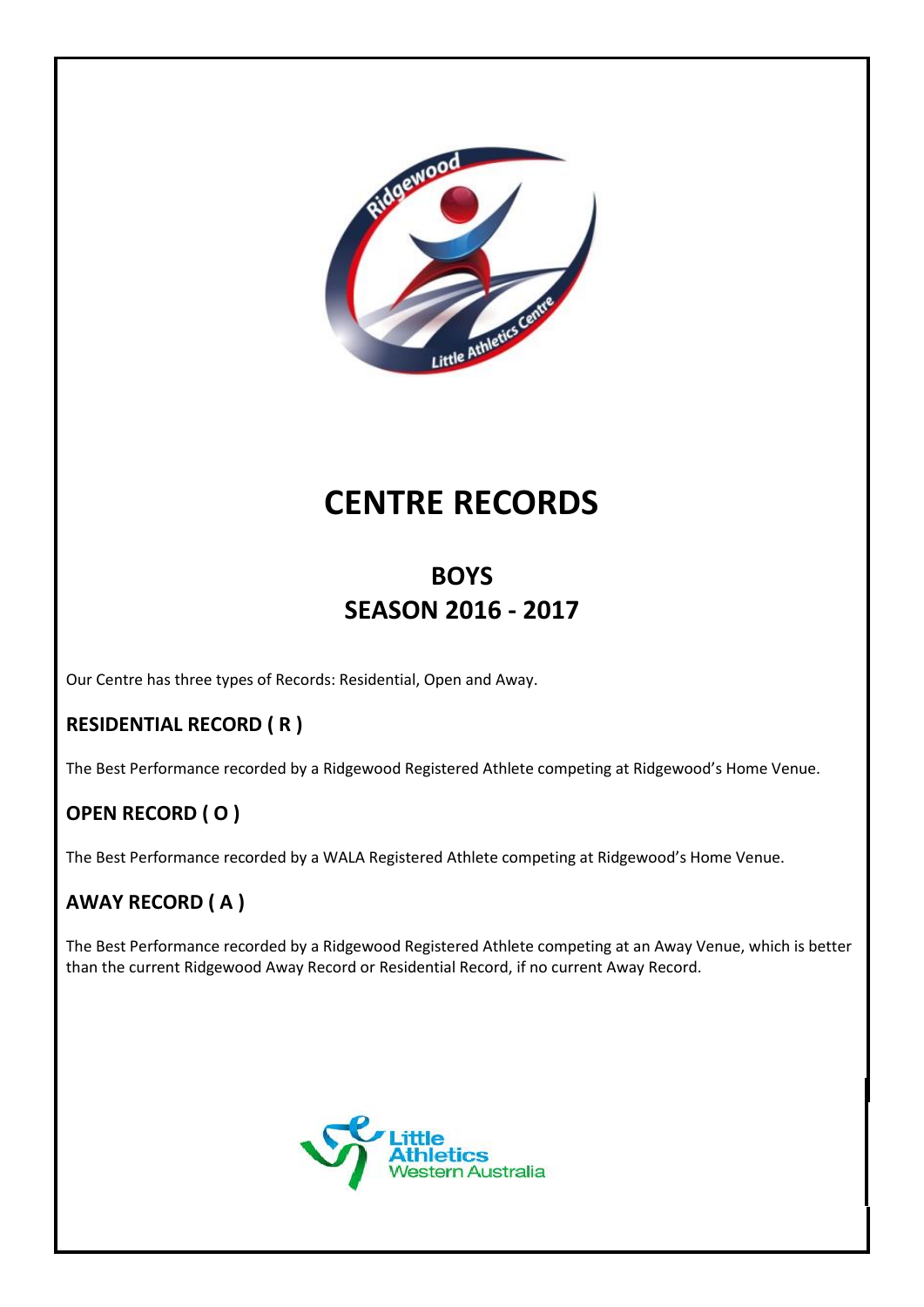

# **CENTRE RECORDS**

# **BOYS SEASON 2016 - 2017**

Our Centre has three types of Records: Residential, Open and Away.

#### **RESIDENTIAL RECORD ( R )**

The Best Performance recorded by a Ridgewood Registered Athlete competing at Ridgewood's Home Venue.

### **OPEN RECORD ( O )**

The Best Performance recorded by a WALA Registered Athlete competing at Ridgewood's Home Venue.

#### **AWAY RECORD ( A )**

The Best Performance recorded by a Ridgewood Registered Athlete competing at an Away Venue, which is better than the current Ridgewood Away Record or Residential Record, if no current Away Record.

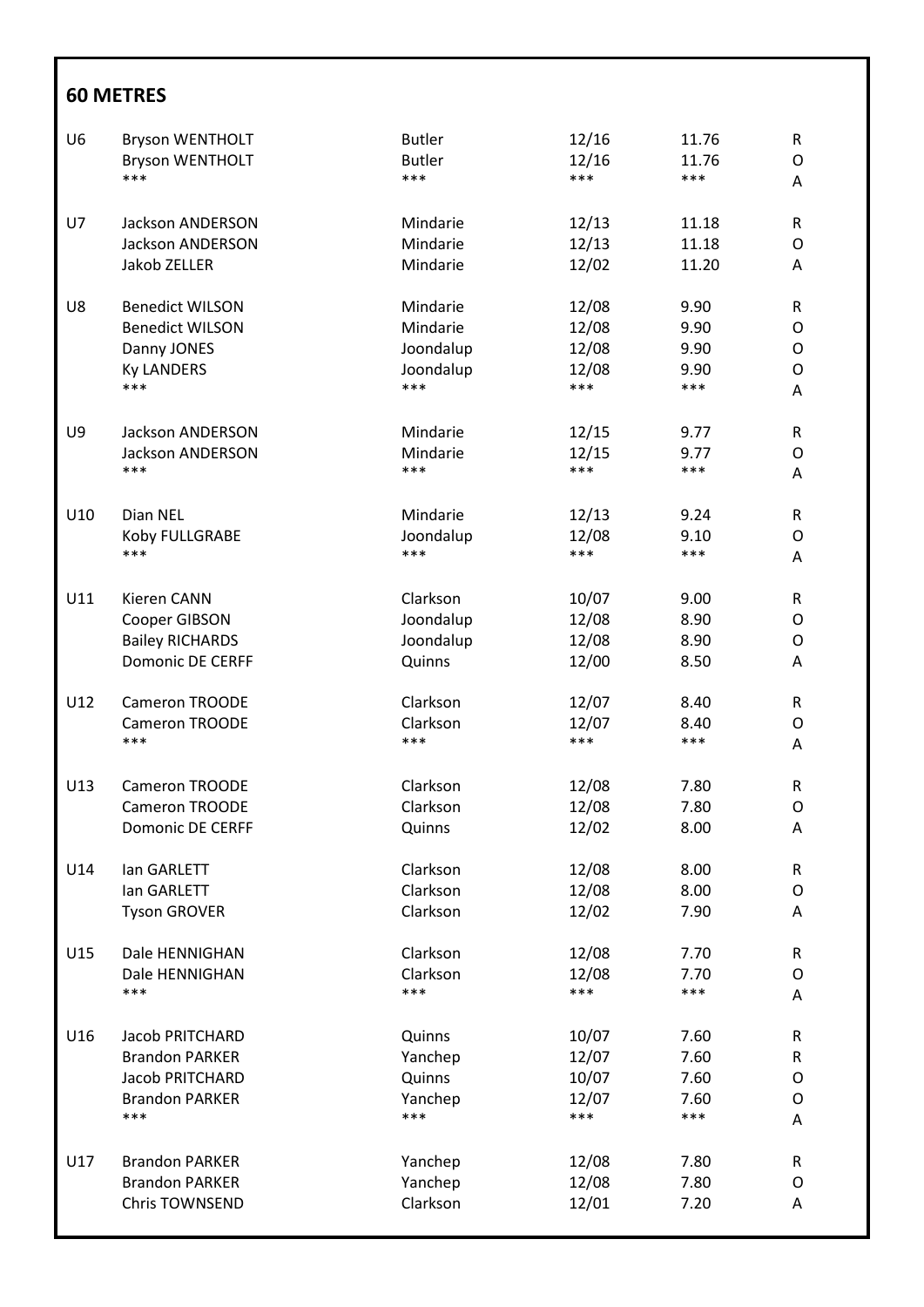| U <sub>6</sub> | <b>Bryson WENTHOLT</b>  | <b>Butler</b> | 12/16 | 11.76 | $\mathsf R$  |
|----------------|-------------------------|---------------|-------|-------|--------------|
|                | <b>Bryson WENTHOLT</b>  | <b>Butler</b> | 12/16 | 11.76 | $\mathsf{O}$ |
|                | ***                     | ***           | ***   | ***   | Α            |
| U7             | <b>Jackson ANDERSON</b> | Mindarie      | 12/13 | 11.18 | R            |
|                | Jackson ANDERSON        | Mindarie      | 12/13 | 11.18 | O            |
|                | Jakob ZELLER            | Mindarie      | 12/02 | 11.20 | Α            |
| U8             | <b>Benedict WILSON</b>  | Mindarie      | 12/08 | 9.90  | $\mathsf R$  |
|                | <b>Benedict WILSON</b>  | Mindarie      | 12/08 | 9.90  | O            |
|                | Danny JONES             | Joondalup     | 12/08 | 9.90  | O            |
|                | <b>Ky LANDERS</b>       | Joondalup     | 12/08 | 9.90  | O            |
|                | ***                     | ***           | ***   | ***   | Α            |
| U9             | <b>Jackson ANDERSON</b> | Mindarie      | 12/15 | 9.77  | R            |
|                | <b>Jackson ANDERSON</b> | Mindarie      | 12/15 | 9.77  | 0            |
|                | ***                     | ***           | ***   | ***   | Α            |
| U10            | Dian NEL                | Mindarie      | 12/13 | 9.24  | $\mathsf{R}$ |
|                | Koby FULLGRABE          | Joondalup     | 12/08 | 9.10  | O            |
|                | ***                     | ***           | ***   | ***   | Α            |
| U11            | Kieren CANN             | Clarkson      | 10/07 | 9.00  | R            |
|                | Cooper GIBSON           | Joondalup     | 12/08 | 8.90  | O            |
|                | <b>Bailey RICHARDS</b>  | Joondalup     | 12/08 | 8.90  | O            |
|                | Domonic DE CERFF        | Quinns        | 12/00 | 8.50  | Α            |
| U12            | Cameron TROODE          | Clarkson      | 12/07 | 8.40  | R            |
|                | Cameron TROODE          | Clarkson      | 12/07 | 8.40  | O            |
|                | ***                     | ***           | ***   | ***   | A            |
| U13            | Cameron TROODE          | Clarkson      | 12/08 | 7.80  | R            |
|                | <b>Cameron TROODE</b>   | Clarkson      | 12/08 | 7.80  | O            |
|                | <b>Domonic DE CERFF</b> | Quinns        | 12/02 | 8.00  | A            |
| U14            | lan GARLETT             | Clarkson      | 12/08 | 8.00  | R            |
|                | lan GARLETT             | Clarkson      | 12/08 | 8.00  | O            |
|                | <b>Tyson GROVER</b>     | Clarkson      | 12/02 | 7.90  | Α            |
| U15            | Dale HENNIGHAN          | Clarkson      | 12/08 | 7.70  | R            |
|                | Dale HENNIGHAN          | Clarkson      | 12/08 | 7.70  | O            |
|                | ***                     | ***           | ***   | ***   | Α            |
| U16            | Jacob PRITCHARD         | Quinns        | 10/07 | 7.60  | R            |
|                | <b>Brandon PARKER</b>   | Yanchep       | 12/07 | 7.60  | $\mathsf R$  |
|                | Jacob PRITCHARD         | Quinns        | 10/07 | 7.60  | O            |
|                | <b>Brandon PARKER</b>   | Yanchep       | 12/07 | 7.60  | O            |
|                | ***                     | ***           | $***$ | ***   | Α            |
| U17            | <b>Brandon PARKER</b>   | Yanchep       | 12/08 | 7.80  | $\mathsf{R}$ |
|                | <b>Brandon PARKER</b>   | Yanchep       | 12/08 | 7.80  | O            |
|                | Chris TOWNSEND          | Clarkson      | 12/01 | 7.20  | Α            |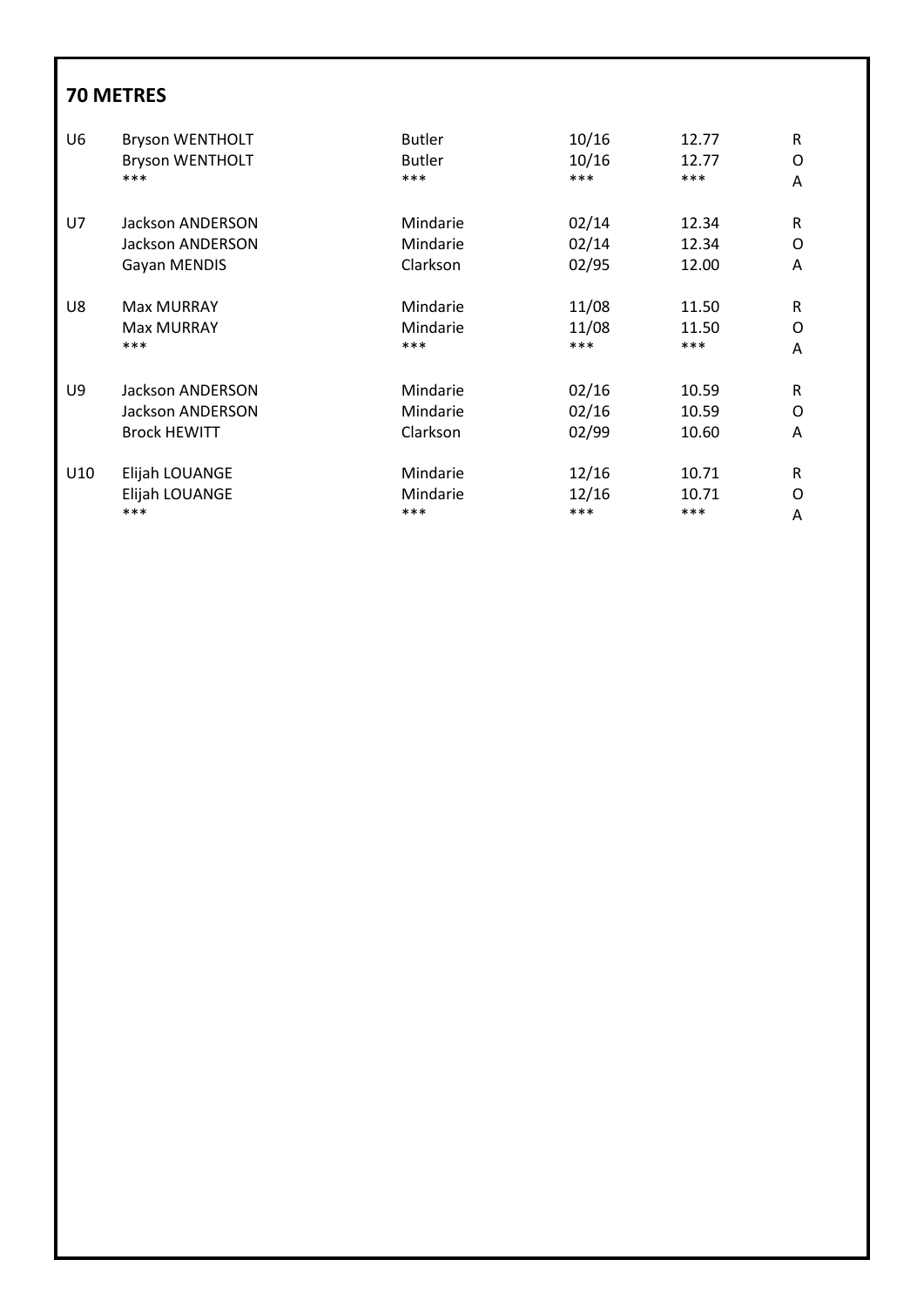| U <sub>6</sub> | <b>Bryson WENTHOLT</b>  | <b>Butler</b> | 10/16 | 12.77 | R |
|----------------|-------------------------|---------------|-------|-------|---|
|                | <b>Bryson WENTHOLT</b>  | <b>Butler</b> | 10/16 | 12.77 | O |
|                | ***                     | ***           | ***   | ***   | A |
| U7             | Jackson ANDERSON        | Mindarie      | 02/14 | 12.34 | R |
|                | <b>Jackson ANDERSON</b> | Mindarie      | 02/14 | 12.34 | O |
|                | Gayan MENDIS            | Clarkson      | 02/95 | 12.00 | A |
| U8             | <b>Max MURRAY</b>       | Mindarie      | 11/08 | 11.50 | R |
|                | <b>Max MURRAY</b>       | Mindarie      | 11/08 | 11.50 | O |
|                | ***                     | ***           | ***   | ***   | A |
| U9             | <b>Jackson ANDERSON</b> | Mindarie      | 02/16 | 10.59 | R |
|                | <b>Jackson ANDERSON</b> | Mindarie      | 02/16 | 10.59 | O |
|                | <b>Brock HEWITT</b>     | Clarkson      | 02/99 | 10.60 | A |
| U10            | Elijah LOUANGE          | Mindarie      | 12/16 | 10.71 | R |
|                | Elijah LOUANGE          | Mindarie      | 12/16 | 10.71 | O |
|                | ***                     | ***           | $***$ | ***   | A |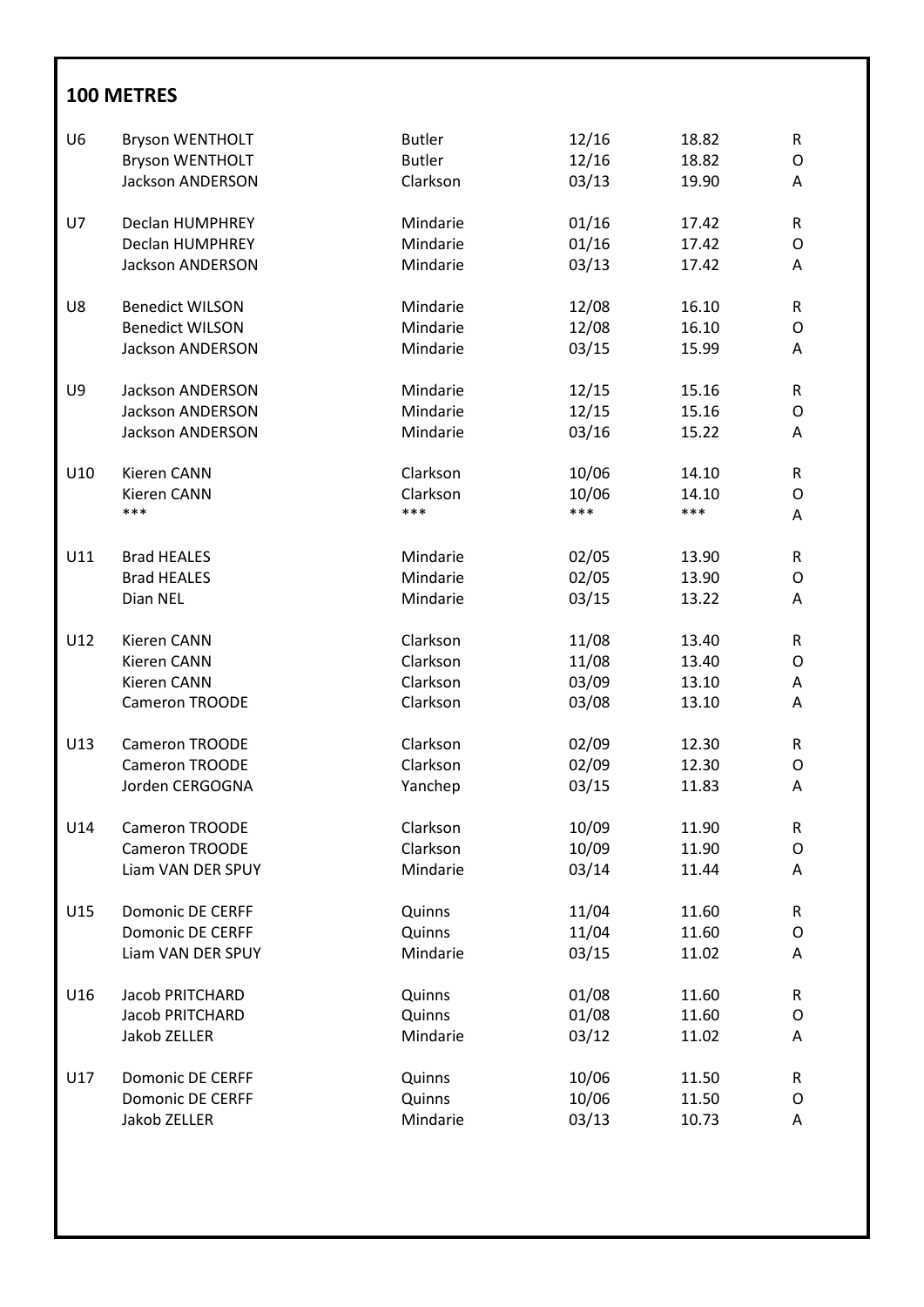| U <sub>6</sub> | <b>Bryson WENTHOLT</b>  | <b>Butler</b> | 12/16 | 18.82 | ${\sf R}$ |
|----------------|-------------------------|---------------|-------|-------|-----------|
|                | <b>Bryson WENTHOLT</b>  | <b>Butler</b> | 12/16 | 18.82 | O         |
|                | <b>Jackson ANDERSON</b> | Clarkson      | 03/13 | 19.90 | Α         |
| U7             | <b>Declan HUMPHREY</b>  | Mindarie      | 01/16 | 17.42 | R         |
|                | Declan HUMPHREY         | Mindarie      | 01/16 | 17.42 | O         |
|                | Jackson ANDERSON        | Mindarie      | 03/13 | 17.42 | Α         |
| U8             | <b>Benedict WILSON</b>  | Mindarie      | 12/08 | 16.10 | R         |
|                | <b>Benedict WILSON</b>  | Mindarie      | 12/08 | 16.10 | O         |
|                | Jackson ANDERSON        | Mindarie      | 03/15 | 15.99 | Α         |
| U9             | <b>Jackson ANDERSON</b> | Mindarie      | 12/15 | 15.16 | R         |
|                | <b>Jackson ANDERSON</b> | Mindarie      | 12/15 | 15.16 | O         |
|                | <b>Jackson ANDERSON</b> | Mindarie      | 03/16 | 15.22 | Α         |
| U10            | Kieren CANN             | Clarkson      | 10/06 | 14.10 | R         |
|                | Kieren CANN             | Clarkson      | 10/06 | 14.10 | O         |
|                | ***                     | ***           | ***   | ***   | Α         |
| U11            | <b>Brad HEALES</b>      | Mindarie      | 02/05 | 13.90 | R         |
|                | <b>Brad HEALES</b>      | Mindarie      | 02/05 | 13.90 | O         |
|                | Dian NEL                | Mindarie      | 03/15 | 13.22 | Α         |
| U12            | Kieren CANN             | Clarkson      | 11/08 | 13.40 | R         |
|                | Kieren CANN             | Clarkson      | 11/08 | 13.40 | O         |
|                | <b>Kieren CANN</b>      | Clarkson      | 03/09 | 13.10 | Α         |
|                | Cameron TROODE          | Clarkson      | 03/08 | 13.10 | Α         |
| U13            | <b>Cameron TROODE</b>   | Clarkson      | 02/09 | 12.30 | R         |
|                | Cameron TROODE          | Clarkson      | 02/09 | 12.30 | O         |
|                | Jorden CERGOGNA         | Yanchep       | 03/15 | 11.83 | Α         |
| U14            | <b>Cameron TROODE</b>   | Clarkson      | 10/09 | 11.90 | R         |
|                | Cameron TROODE          | Clarkson      | 10/09 | 11.90 | O         |
|                | Liam VAN DER SPUY       | Mindarie      | 03/14 | 11.44 | Α         |
| U15            | <b>Domonic DE CERFF</b> | Quinns        | 11/04 | 11.60 | R         |
|                | <b>Domonic DE CERFF</b> | Quinns        | 11/04 | 11.60 | O         |
|                | Liam VAN DER SPUY       | Mindarie      | 03/15 | 11.02 | Α         |
| U16            | Jacob PRITCHARD         | Quinns        | 01/08 | 11.60 | R         |
|                | Jacob PRITCHARD         | Quinns        | 01/08 | 11.60 | O         |
|                | Jakob ZELLER            | Mindarie      | 03/12 | 11.02 | Α         |
| U17            | <b>Domonic DE CERFF</b> | Quinns        | 10/06 | 11.50 | R         |
|                | <b>Domonic DE CERFF</b> | Quinns        | 10/06 | 11.50 | O         |
|                | Jakob ZELLER            | Mindarie      | 03/13 | 10.73 | Α         |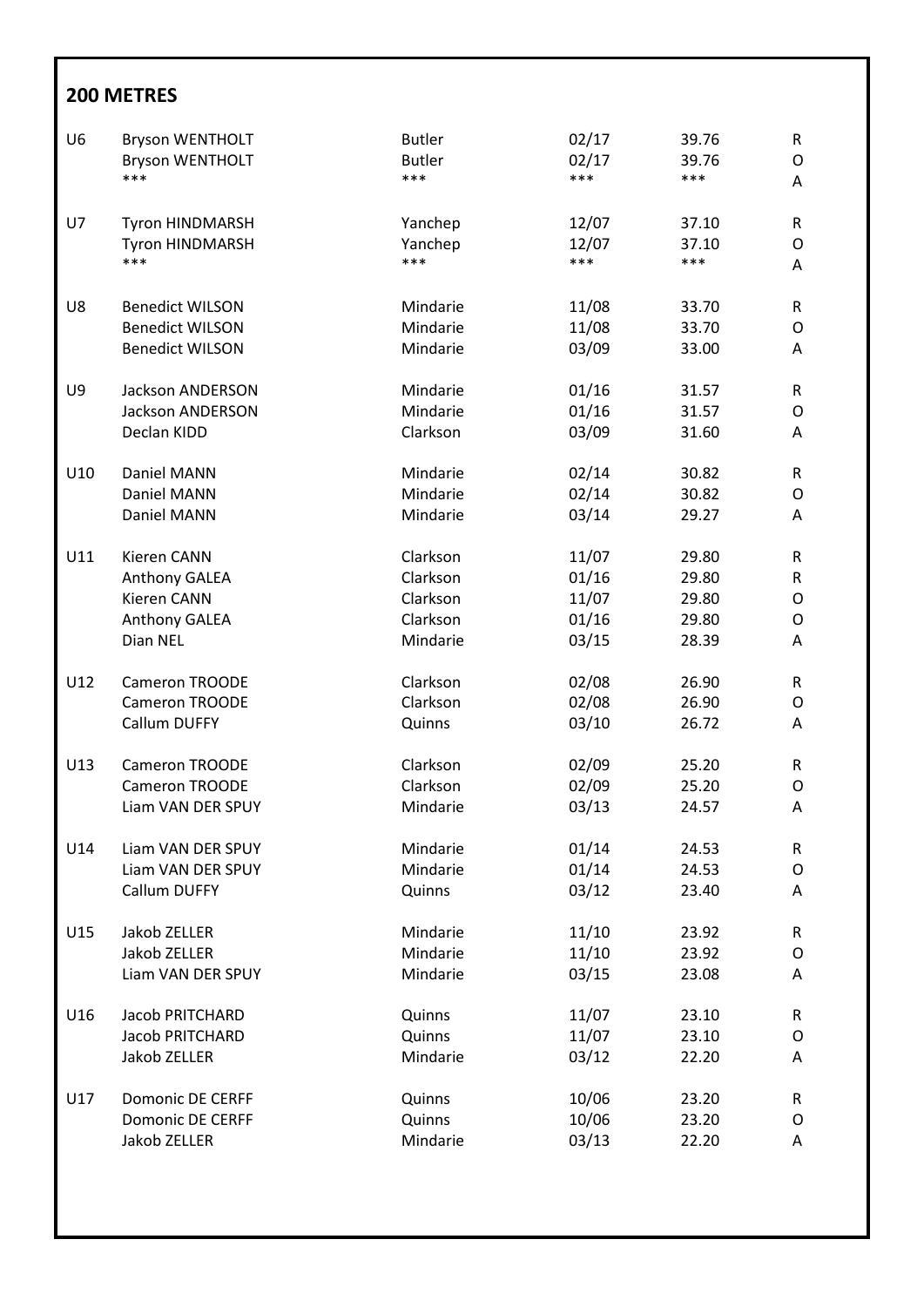| U <sub>6</sub> | <b>Bryson WENTHOLT</b>  | <b>Butler</b> | 02/17 | 39.76 | $\mathsf R$ |
|----------------|-------------------------|---------------|-------|-------|-------------|
|                | <b>Bryson WENTHOLT</b>  | <b>Butler</b> | 02/17 | 39.76 | O           |
|                | ***                     | ***           | ***   | ***   | Α           |
| U7             | Tyron HINDMARSH         | Yanchep       | 12/07 | 37.10 | $\mathsf R$ |
|                | <b>Tyron HINDMARSH</b>  | Yanchep       | 12/07 | 37.10 | O           |
|                | ***                     | ***           | ***   | ***   | Α           |
| U8             | <b>Benedict WILSON</b>  | Mindarie      | 11/08 | 33.70 | $\mathsf R$ |
|                | <b>Benedict WILSON</b>  | Mindarie      | 11/08 | 33.70 | O           |
|                | <b>Benedict WILSON</b>  | Mindarie      | 03/09 | 33.00 | A           |
| U9             | <b>Jackson ANDERSON</b> | Mindarie      | 01/16 | 31.57 | ${\sf R}$   |
|                | <b>Jackson ANDERSON</b> | Mindarie      | 01/16 | 31.57 | O           |
|                | Declan KIDD             | Clarkson      | 03/09 | 31.60 | A           |
| U10            | Daniel MANN             | Mindarie      | 02/14 | 30.82 | $\mathsf R$ |
|                | Daniel MANN             | Mindarie      | 02/14 | 30.82 | $\mathsf O$ |
|                | Daniel MANN             | Mindarie      | 03/14 | 29.27 | A           |
| U11            | Kieren CANN             | Clarkson      | 11/07 | 29.80 | ${\sf R}$   |
|                | <b>Anthony GALEA</b>    | Clarkson      | 01/16 | 29.80 | R           |
|                | <b>Kieren CANN</b>      | Clarkson      | 11/07 | 29.80 | O           |
|                | Anthony GALEA           | Clarkson      | 01/16 | 29.80 | $\mathsf O$ |
|                | Dian NEL                | Mindarie      | 03/15 | 28.39 | A           |
| U12            | Cameron TROODE          | Clarkson      | 02/08 | 26.90 | $\mathsf R$ |
|                | Cameron TROODE          | Clarkson      | 02/08 | 26.90 | O           |
|                | Callum DUFFY            | Quinns        | 03/10 | 26.72 | A           |
| U13            | <b>Cameron TROODE</b>   | Clarkson      | 02/09 | 25.20 | $\mathsf R$ |
|                | Cameron TROODE          | Clarkson      | 02/09 | 25.20 | O           |
|                | Liam VAN DER SPUY       | Mindarie      | 03/13 | 24.57 | A           |
| U14            | Liam VAN DER SPUY       | Mindarie      | 01/14 | 24.53 | $\mathsf R$ |
|                | Liam VAN DER SPUY       | Mindarie      | 01/14 | 24.53 | O           |
|                | Callum DUFFY            | Quinns        | 03/12 | 23.40 | A           |
| U15            | Jakob ZELLER            | Mindarie      | 11/10 | 23.92 | $\mathsf R$ |
|                | <b>Jakob ZELLER</b>     | Mindarie      | 11/10 | 23.92 | O           |
|                | Liam VAN DER SPUY       | Mindarie      | 03/15 | 23.08 | A           |
| U16            | <b>Jacob PRITCHARD</b>  | Quinns        | 11/07 | 23.10 | $\mathsf R$ |
|                | <b>Jacob PRITCHARD</b>  | Quinns        | 11/07 | 23.10 | O           |
|                | Jakob ZELLER            | Mindarie      | 03/12 | 22.20 | A           |
| U17            | <b>Domonic DE CERFF</b> | Quinns        | 10/06 | 23.20 | R           |
|                | <b>Domonic DE CERFF</b> | Quinns        | 10/06 | 23.20 | O           |
|                | Jakob ZELLER            | Mindarie      | 03/13 | 22.20 | A           |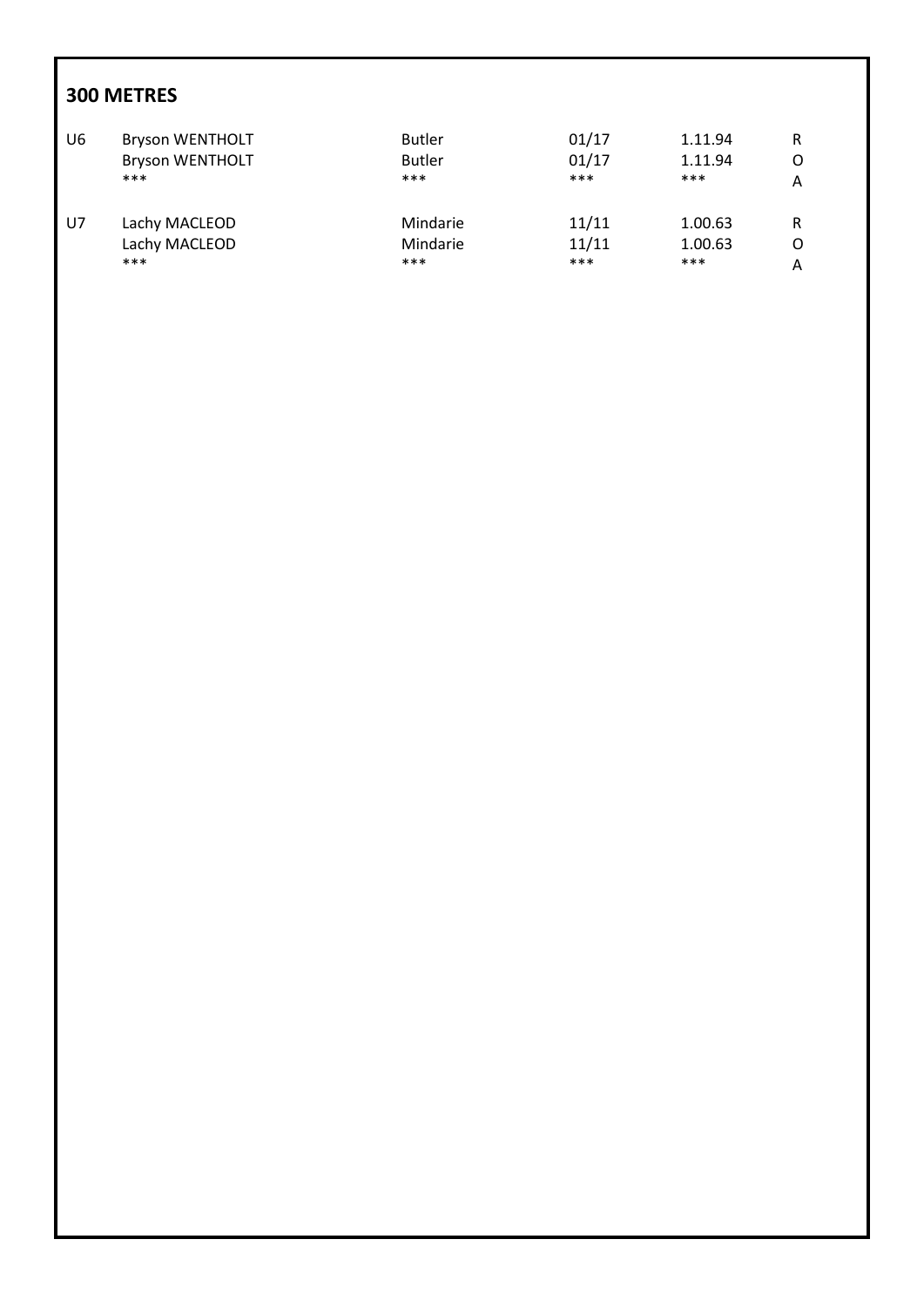| U6 | <b>Bryson WENTHOLT</b> | <b>Butler</b> | 01/17 | 1.11.94 | R |
|----|------------------------|---------------|-------|---------|---|
|    | <b>Bryson WENTHOLT</b> | <b>Butler</b> | 01/17 | 1.11.94 | Ω |
|    | $***$                  | ***           | $***$ | $***$   | Α |
| U7 | Lachy MACLEOD          | Mindarie      | 11/11 | 1.00.63 | R |
|    | Lachy MACLEOD          | Mindarie      | 11/11 | 1.00.63 | O |
|    | $***$                  | ***           | ***   | $***$   | A |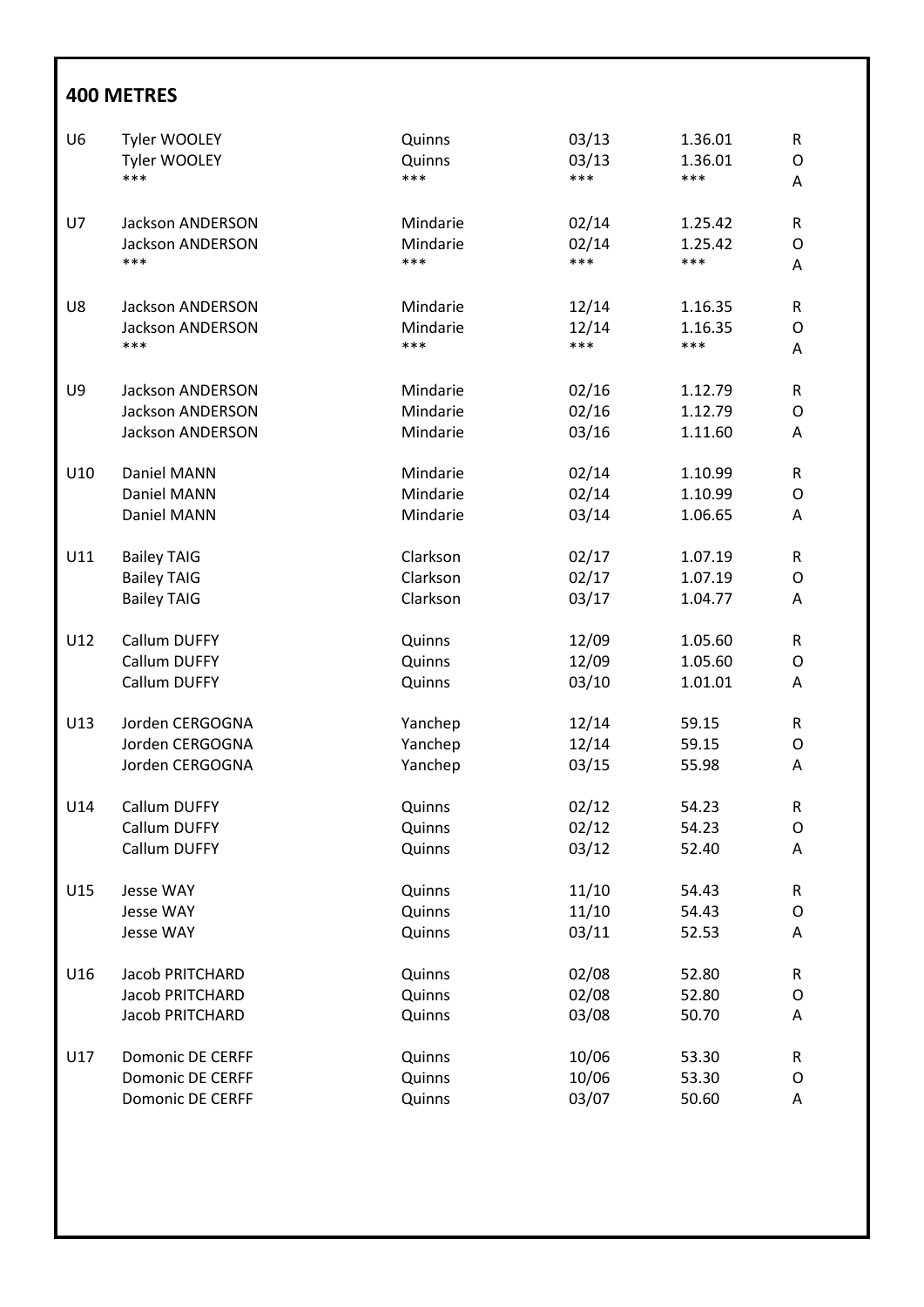| U <sub>6</sub> | Tyler WOOLEY            | Quinns           | 03/13 | 1.36.01 | ${\sf R}$         |
|----------------|-------------------------|------------------|-------|---------|-------------------|
|                | Tyler WOOLEY            | Quinns           | 03/13 | 1.36.01 | $\mathsf{O}$      |
|                | ***                     | ***              | ***   | ***     | A                 |
|                |                         |                  |       |         |                   |
| U7             | <b>Jackson ANDERSON</b> | Mindarie         | 02/14 | 1.25.42 | ${\sf R}$         |
|                | Jackson ANDERSON        | Mindarie         | 02/14 | 1.25.42 | $\mathsf{O}$      |
|                | ***                     | ***              | ***   | ***     | A                 |
| U8             | <b>Jackson ANDERSON</b> | Mindarie         | 12/14 | 1.16.35 | ${\sf R}$         |
|                | <b>Jackson ANDERSON</b> | Mindarie         | 12/14 | 1.16.35 | $\mathsf{O}$      |
|                | ***                     | ***              | ***   | ***     | Α                 |
|                |                         |                  |       |         |                   |
| U9             | <b>Jackson ANDERSON</b> | Mindarie         | 02/16 | 1.12.79 | R                 |
|                | Jackson ANDERSON        | Mindarie         | 02/16 | 1.12.79 | $\mathsf{O}$      |
|                | <b>Jackson ANDERSON</b> | Mindarie         | 03/16 | 1.11.60 | A                 |
| U10            | Daniel MANN             | Mindarie         | 02/14 | 1.10.99 | R                 |
|                | Daniel MANN             | Mindarie         | 02/14 | 1.10.99 | $\mathsf{O}$      |
|                | Daniel MANN             | Mindarie         | 03/14 | 1.06.65 | A                 |
|                |                         |                  |       |         |                   |
| U11            | <b>Bailey TAIG</b>      | Clarkson         | 02/17 | 1.07.19 | R                 |
|                | <b>Bailey TAIG</b>      | Clarkson         | 02/17 | 1.07.19 | $\mathsf{O}$      |
|                | <b>Bailey TAIG</b>      | Clarkson         | 03/17 | 1.04.77 | Α                 |
|                |                         |                  |       |         |                   |
| U12            | Callum DUFFY            | Quinns           | 12/09 | 1.05.60 | R                 |
|                | Callum DUFFY            | Quinns           | 12/09 | 1.05.60 | $\mathsf{O}$      |
|                | Callum DUFFY            | Quinns           | 03/10 | 1.01.01 | Α                 |
| U13            | Jorden CERGOGNA         | Yanchep          | 12/14 | 59.15   | R                 |
|                | Jorden CERGOGNA         | Yanchep          | 12/14 | 59.15   | $\circ$           |
|                | Jorden CERGOGNA         | Yanchep          | 03/15 | 55.98   | Α                 |
|                |                         |                  |       |         |                   |
| U14            | Callum DUFFY            | Quinns           | 02/12 | 54.23   | ${\sf R}$         |
|                | Callum DUFFY            | Quinns           | 02/12 | 54.23   | O                 |
|                | Callum DUFFY            | Quinns           | 03/12 | 52.40   | A                 |
| U15            | Jesse WAY               |                  | 11/10 | 54.43   |                   |
|                | <b>Jesse WAY</b>        | Quinns<br>Quinns | 11/10 | 54.43   | R<br>$\mathsf{O}$ |
|                | <b>Jesse WAY</b>        | Quinns           | 03/11 | 52.53   | Α                 |
|                |                         |                  |       |         |                   |
| U16            | Jacob PRITCHARD         | Quinns           | 02/08 | 52.80   | R                 |
|                | Jacob PRITCHARD         | Quinns           | 02/08 | 52.80   | $\mathsf{O}$      |
|                | Jacob PRITCHARD         | Quinns           | 03/08 | 50.70   | A                 |
| U17            | <b>Domonic DE CERFF</b> |                  | 10/06 | 53.30   | ${\sf R}$         |
|                | <b>Domonic DE CERFF</b> | Quinns<br>Quinns | 10/06 | 53.30   | $\mathsf{O}$      |
|                | <b>Domonic DE CERFF</b> |                  | 03/07 | 50.60   |                   |
|                |                         | Quinns           |       |         | Α                 |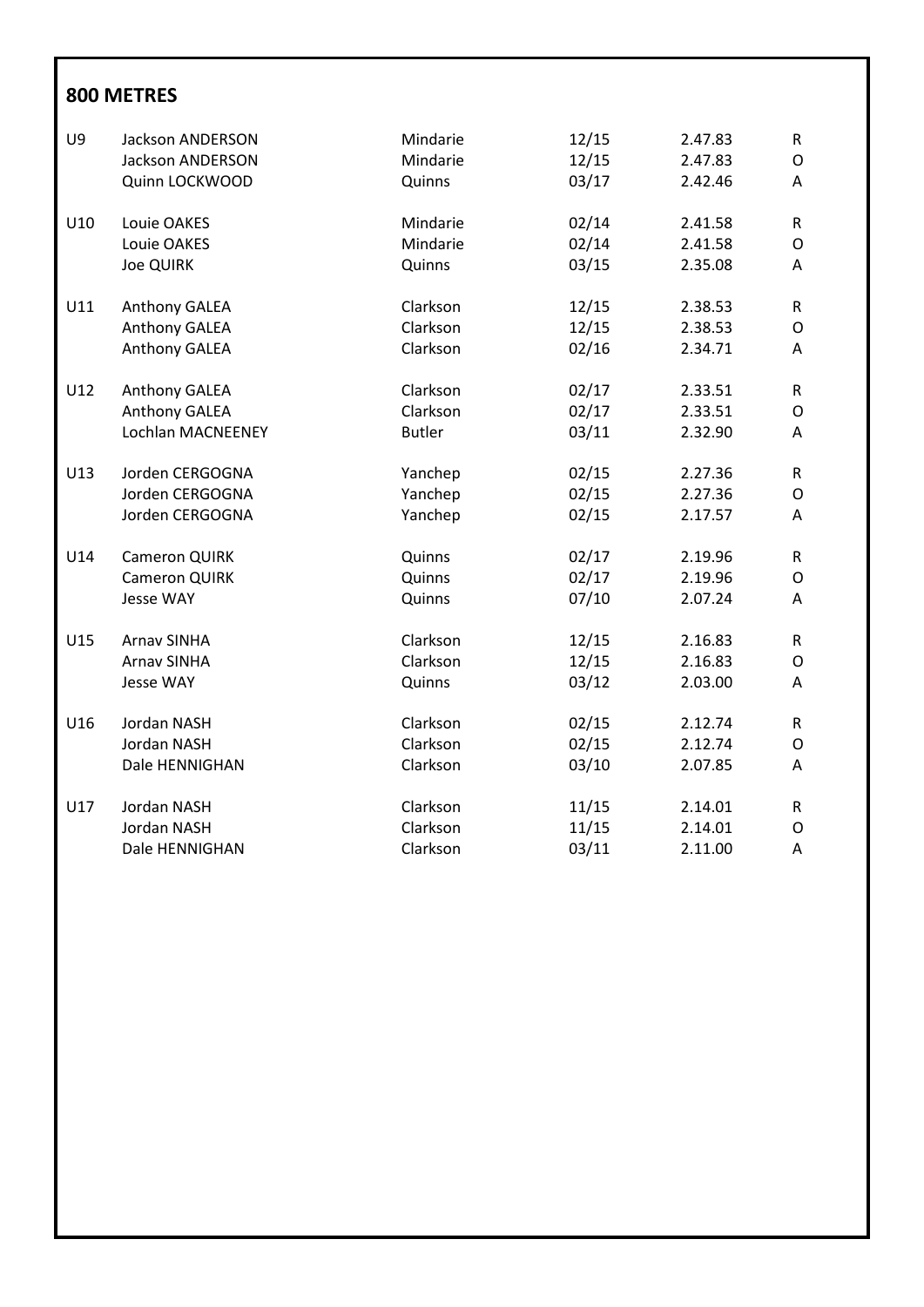| U9  | Jackson ANDERSON        | Mindarie      | 12/15 | 2.47.83 | ${\sf R}$     |
|-----|-------------------------|---------------|-------|---------|---------------|
|     | <b>Jackson ANDERSON</b> | Mindarie      | 12/15 | 2.47.83 | $\mathsf O$   |
|     | Quinn LOCKWOOD          | Quinns        | 03/17 | 2.42.46 | A             |
| U10 | Louie OAKES             | Mindarie      | 02/14 | 2.41.58 | ${\sf R}$     |
|     | Louie OAKES             | Mindarie      | 02/14 | 2.41.58 | ${\mathsf O}$ |
|     | <b>Joe QUIRK</b>        | Quinns        | 03/15 | 2.35.08 | A             |
| U11 | Anthony GALEA           | Clarkson      | 12/15 | 2.38.53 | ${\sf R}$     |
|     | Anthony GALEA           | Clarkson      | 12/15 | 2.38.53 | $\mathsf O$   |
|     | Anthony GALEA           | Clarkson      | 02/16 | 2.34.71 | Α             |
| U12 | Anthony GALEA           | Clarkson      | 02/17 | 2.33.51 | ${\sf R}$     |
|     | Anthony GALEA           | Clarkson      | 02/17 | 2.33.51 | O             |
|     | Lochlan MACNEENEY       | <b>Butler</b> | 03/11 | 2.32.90 | Α             |
| U13 | Jorden CERGOGNA         | Yanchep       | 02/15 | 2.27.36 | R             |
|     | Jorden CERGOGNA         | Yanchep       | 02/15 | 2.27.36 | ${\mathsf O}$ |
|     | Jorden CERGOGNA         | Yanchep       | 02/15 | 2.17.57 | A             |
| U14 | <b>Cameron QUIRK</b>    | Quinns        | 02/17 | 2.19.96 | ${\sf R}$     |
|     | <b>Cameron QUIRK</b>    | Quinns        | 02/17 | 2.19.96 | ${\mathsf O}$ |
|     | <b>Jesse WAY</b>        | Quinns        | 07/10 | 2.07.24 | Α             |
| U15 | <b>Arnav SINHA</b>      | Clarkson      | 12/15 | 2.16.83 | ${\sf R}$     |
|     | <b>Arnav SINHA</b>      | Clarkson      | 12/15 | 2.16.83 | $\mathsf O$   |
|     | <b>Jesse WAY</b>        | Quinns        | 03/12 | 2.03.00 | Α             |
| U16 | Jordan NASH             | Clarkson      | 02/15 | 2.12.74 | ${\sf R}$     |
|     | Jordan NASH             | Clarkson      | 02/15 | 2.12.74 | O             |
|     | Dale HENNIGHAN          | Clarkson      | 03/10 | 2.07.85 | A             |
| U17 | Jordan NASH             | Clarkson      | 11/15 | 2.14.01 | R             |
|     | Jordan NASH             | Clarkson      | 11/15 | 2.14.01 | $\mathsf O$   |
|     | Dale HENNIGHAN          | Clarkson      | 03/11 | 2.11.00 | A             |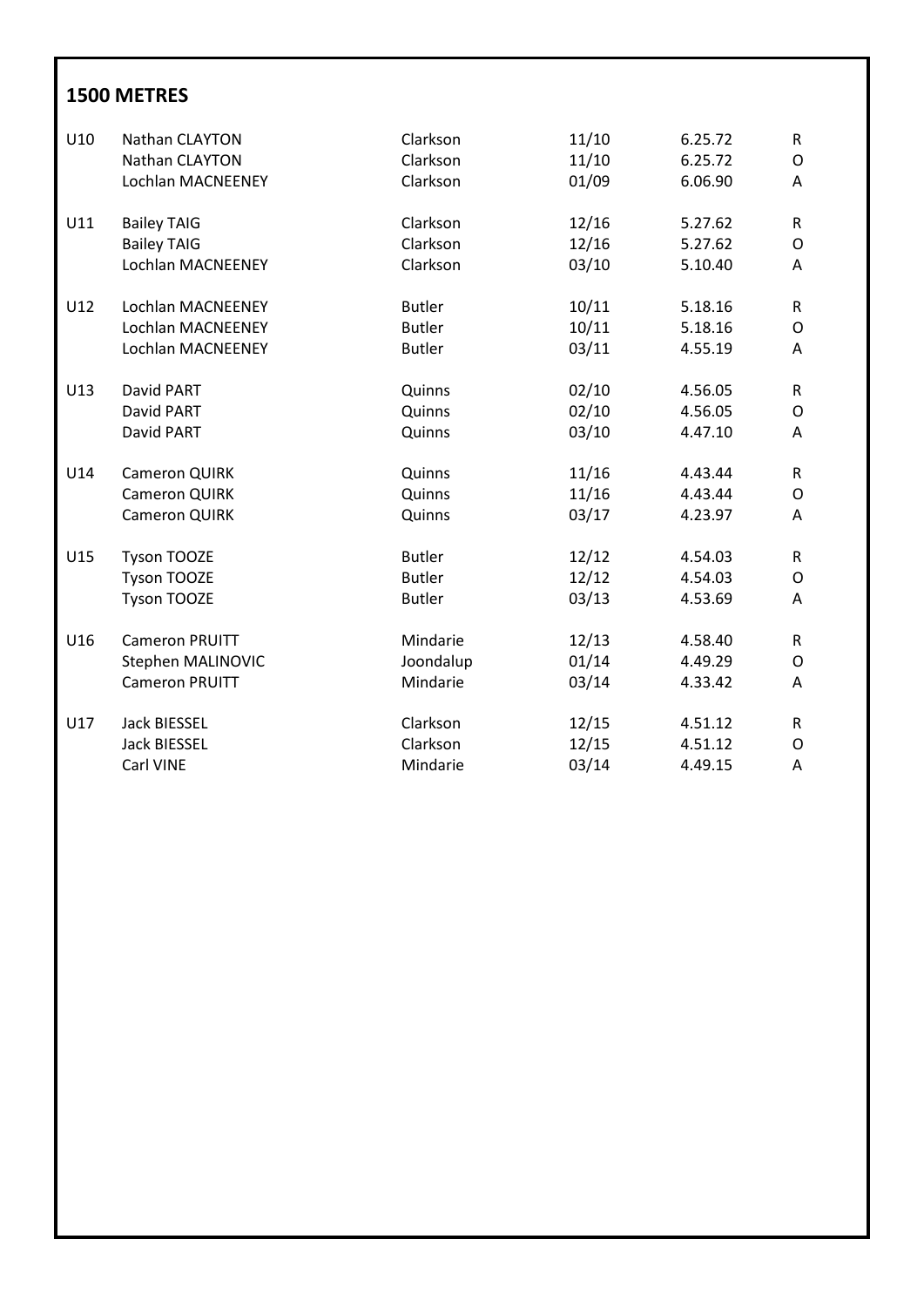| U10 | Nathan CLAYTON        | Clarkson      | 11/10 | 6.25.72 | $\mathsf{R}$  |
|-----|-----------------------|---------------|-------|---------|---------------|
|     | Nathan CLAYTON        | Clarkson      | 11/10 | 6.25.72 | 0             |
|     | Lochlan MACNEENEY     | Clarkson      | 01/09 | 6.06.90 | A             |
|     |                       |               |       |         |               |
| U11 | <b>Bailey TAIG</b>    | Clarkson      | 12/16 | 5.27.62 | R             |
|     | <b>Bailey TAIG</b>    | Clarkson      | 12/16 | 5.27.62 | O             |
|     | Lochlan MACNEENEY     | Clarkson      | 03/10 | 5.10.40 | A             |
|     |                       |               |       |         |               |
| U12 | Lochlan MACNEENEY     | <b>Butler</b> | 10/11 | 5.18.16 | $\mathsf R$   |
|     | Lochlan MACNEENEY     | <b>Butler</b> | 10/11 | 5.18.16 | O             |
|     | Lochlan MACNEENEY     | <b>Butler</b> | 03/11 | 4.55.19 | Α             |
|     |                       |               |       |         |               |
| U13 | David PART            | Quinns        | 02/10 | 4.56.05 | R             |
|     | David PART            | Quinns        | 02/10 | 4.56.05 | O             |
|     | David PART            | Quinns        | 03/10 | 4.47.10 | A             |
|     |                       |               |       |         |               |
| U14 | Cameron QUIRK         | Quinns        | 11/16 | 4.43.44 | R             |
|     | <b>Cameron QUIRK</b>  | Quinns        | 11/16 | 4.43.44 | $\mathsf O$   |
|     | Cameron QUIRK         | Quinns        | 03/17 | 4.23.97 | A             |
|     |                       |               |       |         |               |
| U15 | Tyson TOOZE           | <b>Butler</b> | 12/12 | 4.54.03 | R             |
|     | <b>Tyson TOOZE</b>    | <b>Butler</b> | 12/12 | 4.54.03 | O             |
|     | <b>Tyson TOOZE</b>    | <b>Butler</b> | 03/13 | 4.53.69 | A             |
|     |                       |               |       |         |               |
| U16 | <b>Cameron PRUITT</b> | Mindarie      | 12/13 | 4.58.40 | R.            |
|     | Stephen MALINOVIC     | Joondalup     | 01/14 | 4.49.29 | ${\mathsf O}$ |
|     | <b>Cameron PRUITT</b> | Mindarie      | 03/14 | 4.33.42 | A             |
|     |                       |               |       |         |               |
| U17 | Jack BIESSEL          | Clarkson      | 12/15 | 4.51.12 | R             |
|     | <b>Jack BIESSEL</b>   | Clarkson      | 12/15 | 4.51.12 | O             |
|     | Carl VINE             | Mindarie      | 03/14 | 4.49.15 | Α             |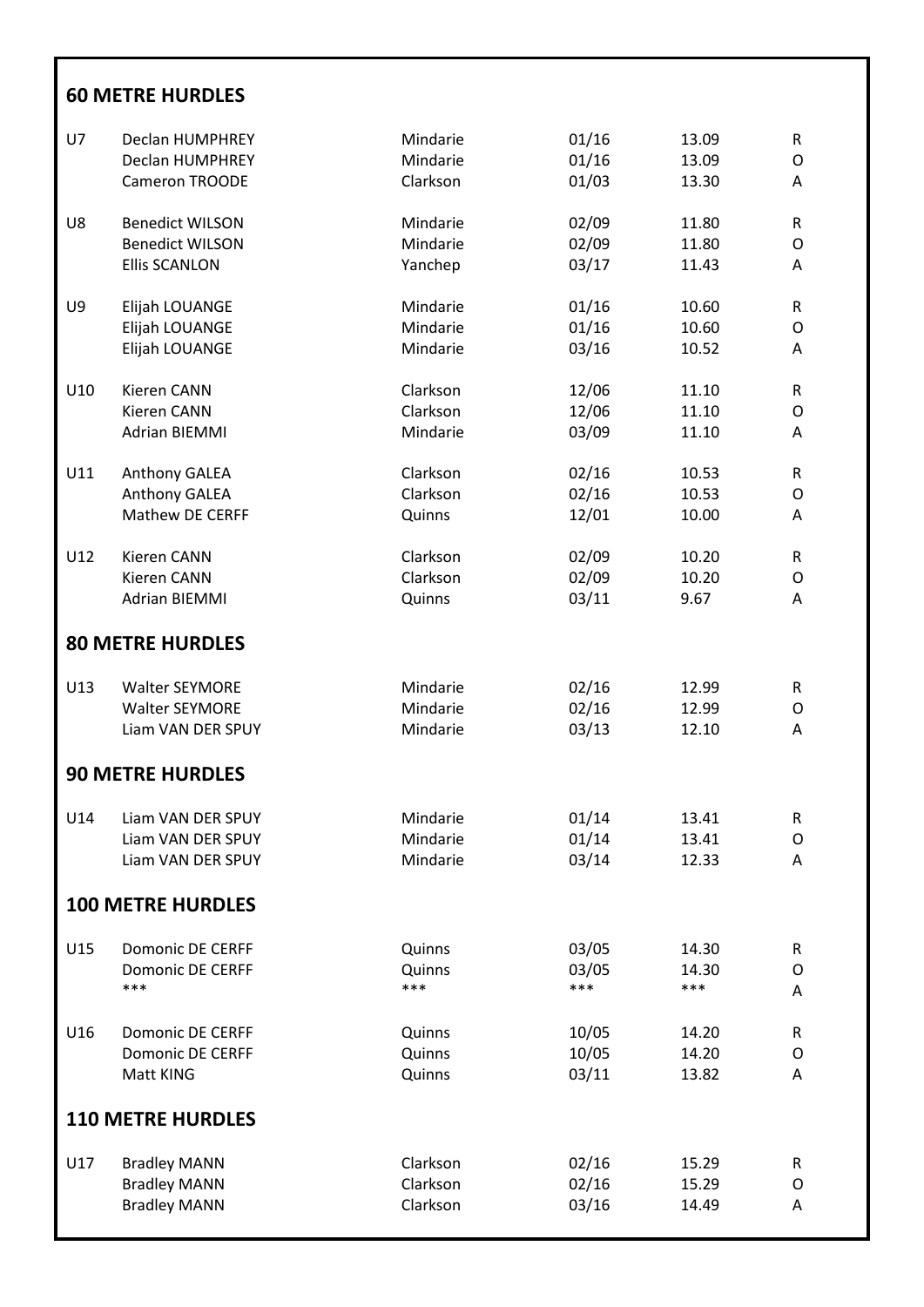#### **60 METRE HURDLES**

| U7  | Declan HUMPHREY          | Mindarie | 01/16 | 13.09 | ${\sf R}$    |
|-----|--------------------------|----------|-------|-------|--------------|
|     | <b>Declan HUMPHREY</b>   | Mindarie | 01/16 | 13.09 | $\circ$      |
|     | Cameron TROODE           | Clarkson | 01/03 | 13.30 | Α            |
|     |                          |          |       |       |              |
| U8  | <b>Benedict WILSON</b>   | Mindarie | 02/09 | 11.80 | ${\sf R}$    |
|     | <b>Benedict WILSON</b>   | Mindarie | 02/09 | 11.80 | O            |
|     | <b>Ellis SCANLON</b>     | Yanchep  | 03/17 | 11.43 | Α            |
|     |                          |          |       |       |              |
| U9  | Elijah LOUANGE           | Mindarie | 01/16 | 10.60 | ${\sf R}$    |
|     | Elijah LOUANGE           | Mindarie | 01/16 | 10.60 | O            |
|     |                          |          |       |       |              |
|     | Elijah LOUANGE           | Mindarie | 03/16 | 10.52 | Α            |
|     |                          |          |       |       |              |
| U10 | Kieren CANN              | Clarkson | 12/06 | 11.10 | ${\sf R}$    |
|     | Kieren CANN              | Clarkson | 12/06 | 11.10 | O            |
|     | <b>Adrian BIEMMI</b>     | Mindarie | 03/09 | 11.10 | Α            |
|     |                          |          |       |       |              |
| U11 | Anthony GALEA            | Clarkson | 02/16 | 10.53 | ${\sf R}$    |
|     | Anthony GALEA            | Clarkson | 02/16 | 10.53 | O            |
|     | Mathew DE CERFF          | Quinns   | 12/01 | 10.00 | Α            |
|     |                          |          |       |       |              |
| U12 | Kieren CANN              | Clarkson | 02/09 | 10.20 | $\mathsf R$  |
|     | Kieren CANN              | Clarkson | 02/09 | 10.20 | O            |
|     | <b>Adrian BIEMMI</b>     | Quinns   | 03/11 | 9.67  | A            |
|     |                          |          |       |       |              |
|     | <b>80 METRE HURDLES</b>  |          |       |       |              |
|     |                          |          |       |       |              |
| U13 | <b>Walter SEYMORE</b>    | Mindarie | 02/16 | 12.99 | $\mathsf{R}$ |
|     | <b>Walter SEYMORE</b>    | Mindarie | 02/16 | 12.99 | O            |
|     | Liam VAN DER SPUY        | Mindarie | 03/13 | 12.10 | A            |
|     |                          |          |       |       |              |
|     | <b>90 METRE HURDLES</b>  |          |       |       |              |
|     |                          |          |       |       |              |
| U14 | Liam VAN DER SPUY        | Mindarie | 01/14 | 13.41 | R            |
|     | Liam VAN DER SPUY        | Mindarie | 01/14 | 13.41 | O            |
|     | Liam VAN DER SPUY        | Mindarie | 03/14 | 12.33 | Α            |
|     |                          |          |       |       |              |
|     | <b>100 METRE HURDLES</b> |          |       |       |              |
|     |                          |          |       |       |              |
| U15 | <b>Domonic DE CERFF</b>  | Quinns   | 03/05 | 14.30 | ${\sf R}$    |
|     | <b>Domonic DE CERFF</b>  | Quinns   | 03/05 | 14.30 | O            |
|     | ***                      | ***      | ***   | ***   |              |
|     |                          |          |       |       | A            |
| U16 | <b>Domonic DE CERFF</b>  | Quinns   | 10/05 | 14.20 | ${\sf R}$    |
|     | <b>Domonic DE CERFF</b>  |          | 10/05 | 14.20 |              |
|     |                          | Quinns   |       |       | O            |
|     | Matt KING                | Quinns   | 03/11 | 13.82 | A            |
|     |                          |          |       |       |              |
|     | <b>110 METRE HURDLES</b> |          |       |       |              |
|     |                          |          |       |       |              |
| U17 | <b>Bradley MANN</b>      | Clarkson | 02/16 | 15.29 | R            |
|     | <b>Bradley MANN</b>      | Clarkson | 02/16 | 15.29 | O            |
|     | <b>Bradley MANN</b>      | Clarkson | 03/16 | 14.49 | Α            |
|     |                          |          |       |       |              |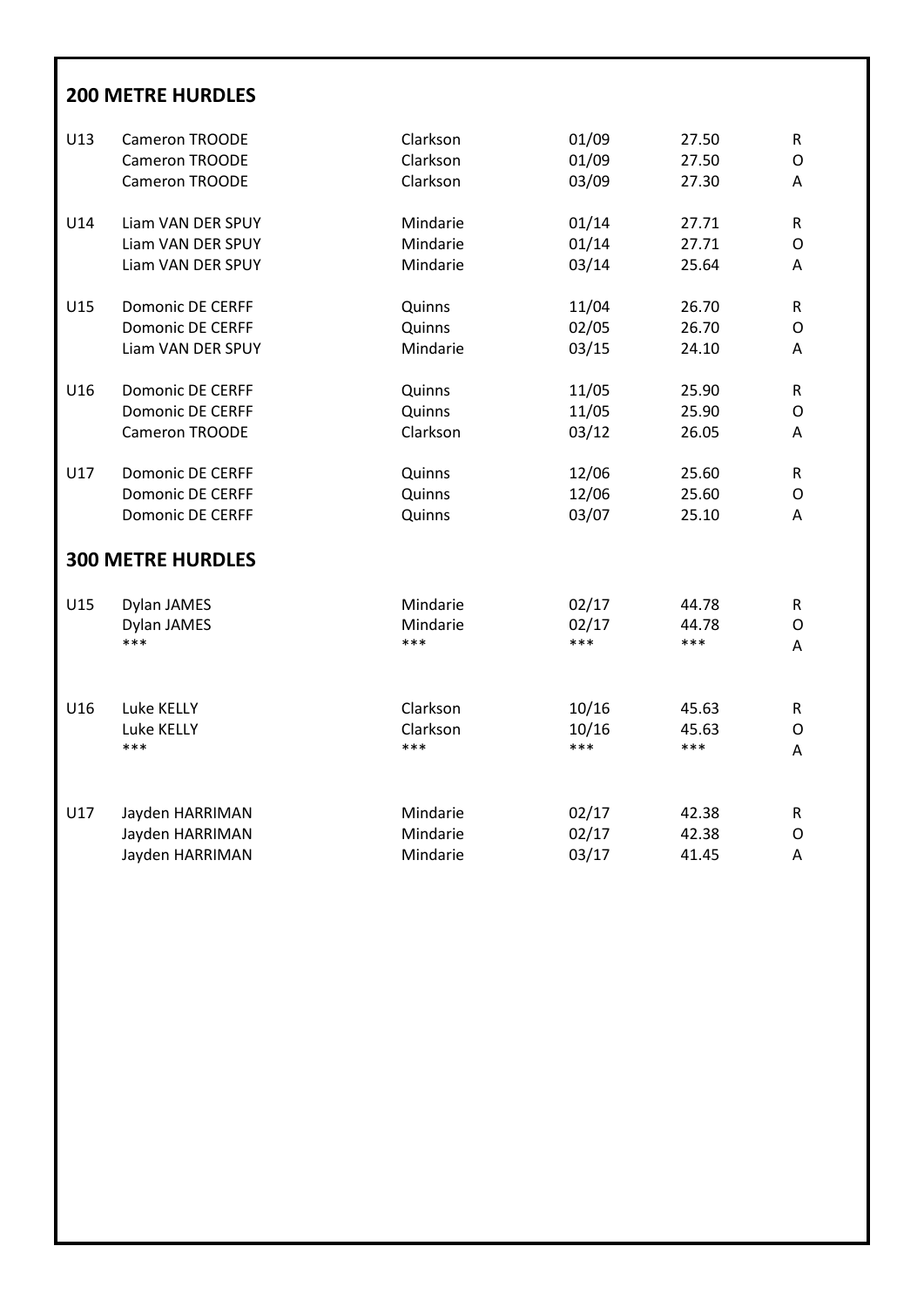### **200 METRE HURDLES**

| U13 | Cameron TROODE           | Clarkson | 01/09 | 27.50 | ${\sf R}$    |
|-----|--------------------------|----------|-------|-------|--------------|
|     | Cameron TROODE           | Clarkson | 01/09 | 27.50 | O            |
|     | Cameron TROODE           | Clarkson | 03/09 | 27.30 | Α            |
| U14 | Liam VAN DER SPUY        | Mindarie | 01/14 | 27.71 | R            |
|     | Liam VAN DER SPUY        | Mindarie | 01/14 | 27.71 | O            |
|     | Liam VAN DER SPUY        | Mindarie | 03/14 | 25.64 | Α            |
| U15 | <b>Domonic DE CERFF</b>  | Quinns   | 11/04 | 26.70 | $\mathsf{R}$ |
|     | <b>Domonic DE CERFF</b>  | Quinns   | 02/05 | 26.70 | O            |
|     | Liam VAN DER SPUY        | Mindarie | 03/15 | 24.10 | Α            |
| U16 | <b>Domonic DE CERFF</b>  | Quinns   | 11/05 | 25.90 | $\mathsf{R}$ |
|     | <b>Domonic DE CERFF</b>  | Quinns   | 11/05 | 25.90 | O            |
|     | Cameron TROODE           | Clarkson | 03/12 | 26.05 | Α            |
| U17 | <b>Domonic DE CERFF</b>  | Quinns   | 12/06 | 25.60 | R            |
|     | <b>Domonic DE CERFF</b>  | Quinns   | 12/06 | 25.60 | O            |
|     | <b>Domonic DE CERFF</b>  | Quinns   | 03/07 | 25.10 | Α            |
|     | <b>300 METRE HURDLES</b> |          |       |       |              |
| U15 | Dylan JAMES              | Mindarie | 02/17 | 44.78 | R            |
|     | Dylan JAMES              | Mindarie | 02/17 | 44.78 | O            |
|     | ***                      | ***      | ***   | ***   | Α            |
| U16 | Luke KELLY               | Clarkson | 10/16 | 45.63 | $\mathsf{R}$ |
|     | Luke KELLY               | Clarkson | 10/16 | 45.63 | O            |
|     | ***                      | ***      | ***   | ***   | Α            |
| U17 | Jayden HARRIMAN          | Mindarie | 02/17 | 42.38 | R            |
|     | Jayden HARRIMAN          | Mindarie | 02/17 | 42.38 | O            |
|     | Jayden HARRIMAN          | Mindarie | 03/17 | 41.45 | A            |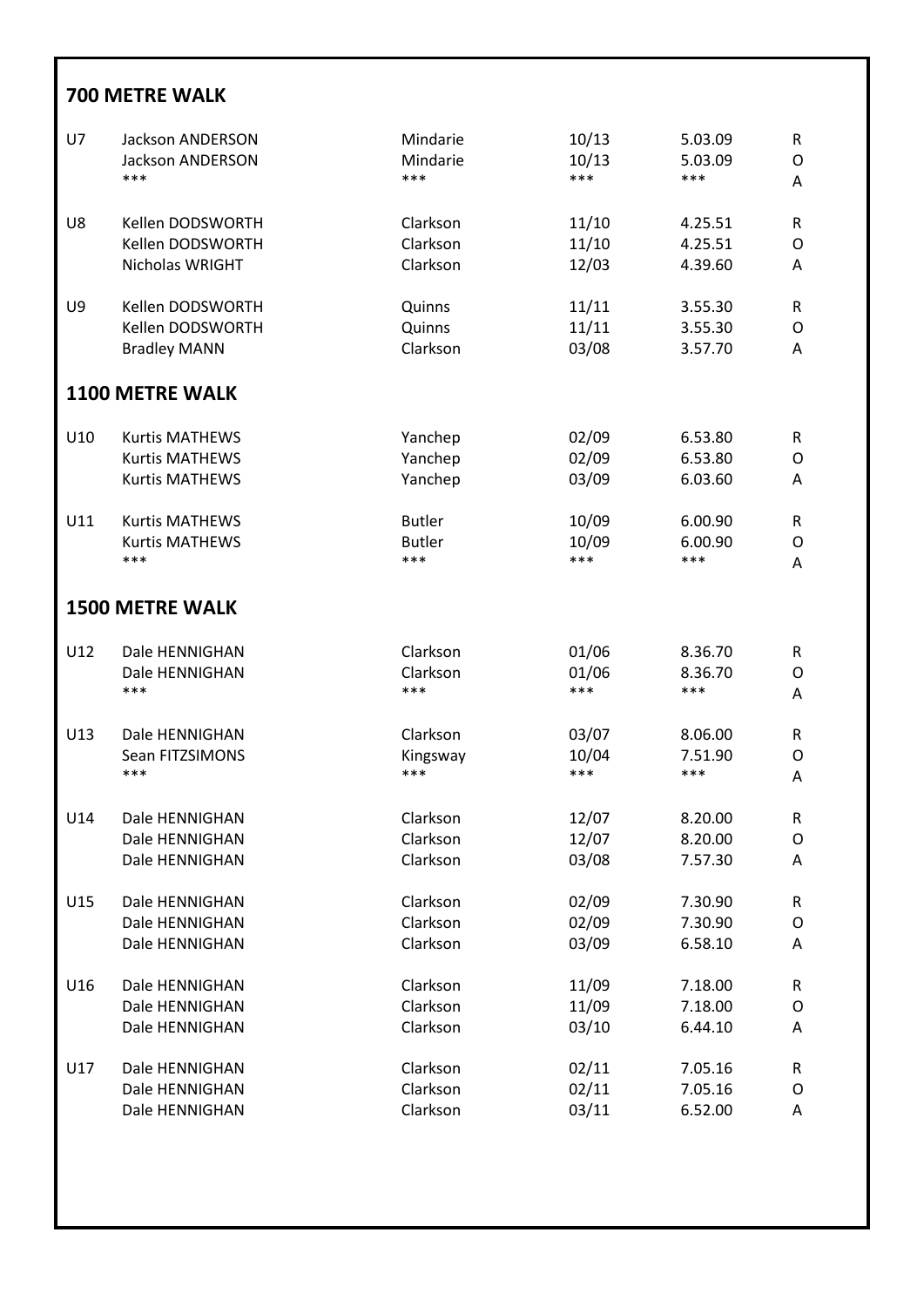|            | <b>700 METRE WALK</b>                                                                                                            |                                                                        |                                                  |                                                            |                                                        |  |  |  |  |
|------------|----------------------------------------------------------------------------------------------------------------------------------|------------------------------------------------------------------------|--------------------------------------------------|------------------------------------------------------------|--------------------------------------------------------|--|--|--|--|
| U7         | <b>Jackson ANDERSON</b>                                                                                                          | Mindarie                                                               | 10/13                                            | 5.03.09                                                    | $\mathsf R$                                            |  |  |  |  |
|            | <b>Jackson ANDERSON</b>                                                                                                          | Mindarie                                                               | 10/13                                            | 5.03.09                                                    | $\mathsf O$                                            |  |  |  |  |
|            | ***                                                                                                                              | ***                                                                    | ***                                              | ***                                                        | A                                                      |  |  |  |  |
| U8         | Kellen DODSWORTH                                                                                                                 | Clarkson                                                               | 11/10                                            | 4.25.51                                                    | ${\sf R}$                                              |  |  |  |  |
|            | Kellen DODSWORTH                                                                                                                 | Clarkson                                                               | 11/10                                            | 4.25.51                                                    | O                                                      |  |  |  |  |
|            | Nicholas WRIGHT                                                                                                                  | Clarkson                                                               | 12/03                                            | 4.39.60                                                    | Α                                                      |  |  |  |  |
| U9         | Kellen DODSWORTH                                                                                                                 | Quinns                                                                 | 11/11                                            | 3.55.30                                                    | ${\sf R}$                                              |  |  |  |  |
|            | Kellen DODSWORTH                                                                                                                 | Quinns                                                                 | 11/11                                            | 3.55.30                                                    | $\circ$                                                |  |  |  |  |
|            | <b>Bradley MANN</b>                                                                                                              | Clarkson                                                               | 03/08                                            | 3.57.70                                                    | Α                                                      |  |  |  |  |
|            | <b>1100 METRE WALK</b>                                                                                                           |                                                                        |                                                  |                                                            |                                                        |  |  |  |  |
| U10<br>U11 | <b>Kurtis MATHEWS</b><br><b>Kurtis MATHEWS</b><br><b>Kurtis MATHEWS</b><br><b>Kurtis MATHEWS</b><br><b>Kurtis MATHEWS</b><br>*** | Yanchep<br>Yanchep<br>Yanchep<br><b>Butler</b><br><b>Butler</b><br>*** | 02/09<br>02/09<br>03/09<br>10/09<br>10/09<br>*** | 6.53.80<br>6.53.80<br>6.03.60<br>6.00.90<br>6.00.90<br>*** | $\mathsf R$<br>O<br>A<br>${\sf R}$<br>$\mathsf O$<br>Α |  |  |  |  |
|            | <b>1500 METRE WALK</b>                                                                                                           |                                                                        |                                                  |                                                            |                                                        |  |  |  |  |
| U12        | Dale HENNIGHAN                                                                                                                   | Clarkson                                                               | 01/06                                            | 8.36.70                                                    | $\mathsf R$                                            |  |  |  |  |
|            | Dale HENNIGHAN                                                                                                                   | Clarkson                                                               | 01/06                                            | 8.36.70                                                    | $\mathsf O$                                            |  |  |  |  |
|            | ***                                                                                                                              | ***                                                                    | ***                                              | ***                                                        | Α                                                      |  |  |  |  |
| U13        | Dale HENNIGHAN                                                                                                                   | Clarkson                                                               | 03/07                                            | 8.06.00                                                    | $\mathsf R$                                            |  |  |  |  |
|            | Sean FITZSIMONS                                                                                                                  | Kingsway                                                               | 10/04                                            | 7.51.90                                                    | O                                                      |  |  |  |  |
|            | ***                                                                                                                              | ***                                                                    | ***                                              | ***                                                        | Α                                                      |  |  |  |  |
| U14        | Dale HENNIGHAN                                                                                                                   | Clarkson                                                               | 12/07                                            | 8.20.00                                                    | ${\sf R}$                                              |  |  |  |  |
|            | Dale HENNIGHAN                                                                                                                   | Clarkson                                                               | 12/07                                            | 8.20.00                                                    | $\mathsf O$                                            |  |  |  |  |
|            | Dale HENNIGHAN                                                                                                                   | Clarkson                                                               | 03/08                                            | 7.57.30                                                    | Α                                                      |  |  |  |  |
| U15        | Dale HENNIGHAN                                                                                                                   | Clarkson                                                               | 02/09                                            | 7.30.90                                                    | ${\sf R}$                                              |  |  |  |  |
|            | Dale HENNIGHAN                                                                                                                   | Clarkson                                                               | 02/09                                            | 7.30.90                                                    | O                                                      |  |  |  |  |
|            | Dale HENNIGHAN                                                                                                                   | Clarkson                                                               | 03/09                                            | 6.58.10                                                    | Α                                                      |  |  |  |  |
| U16        | Dale HENNIGHAN                                                                                                                   | Clarkson                                                               | 11/09                                            | 7.18.00                                                    | R                                                      |  |  |  |  |
|            | Dale HENNIGHAN                                                                                                                   | Clarkson                                                               | 11/09                                            | 7.18.00                                                    | O                                                      |  |  |  |  |
|            | Dale HENNIGHAN                                                                                                                   | Clarkson                                                               | 03/10                                            | 6.44.10                                                    | Α                                                      |  |  |  |  |
| U17        | Dale HENNIGHAN                                                                                                                   | Clarkson                                                               | 02/11                                            | 7.05.16                                                    | ${\sf R}$                                              |  |  |  |  |
|            | Dale HENNIGHAN                                                                                                                   | Clarkson                                                               | 02/11                                            | 7.05.16                                                    | O                                                      |  |  |  |  |
|            | Dale HENNIGHAN                                                                                                                   | Clarkson                                                               | 03/11                                            | 6.52.00                                                    | Α                                                      |  |  |  |  |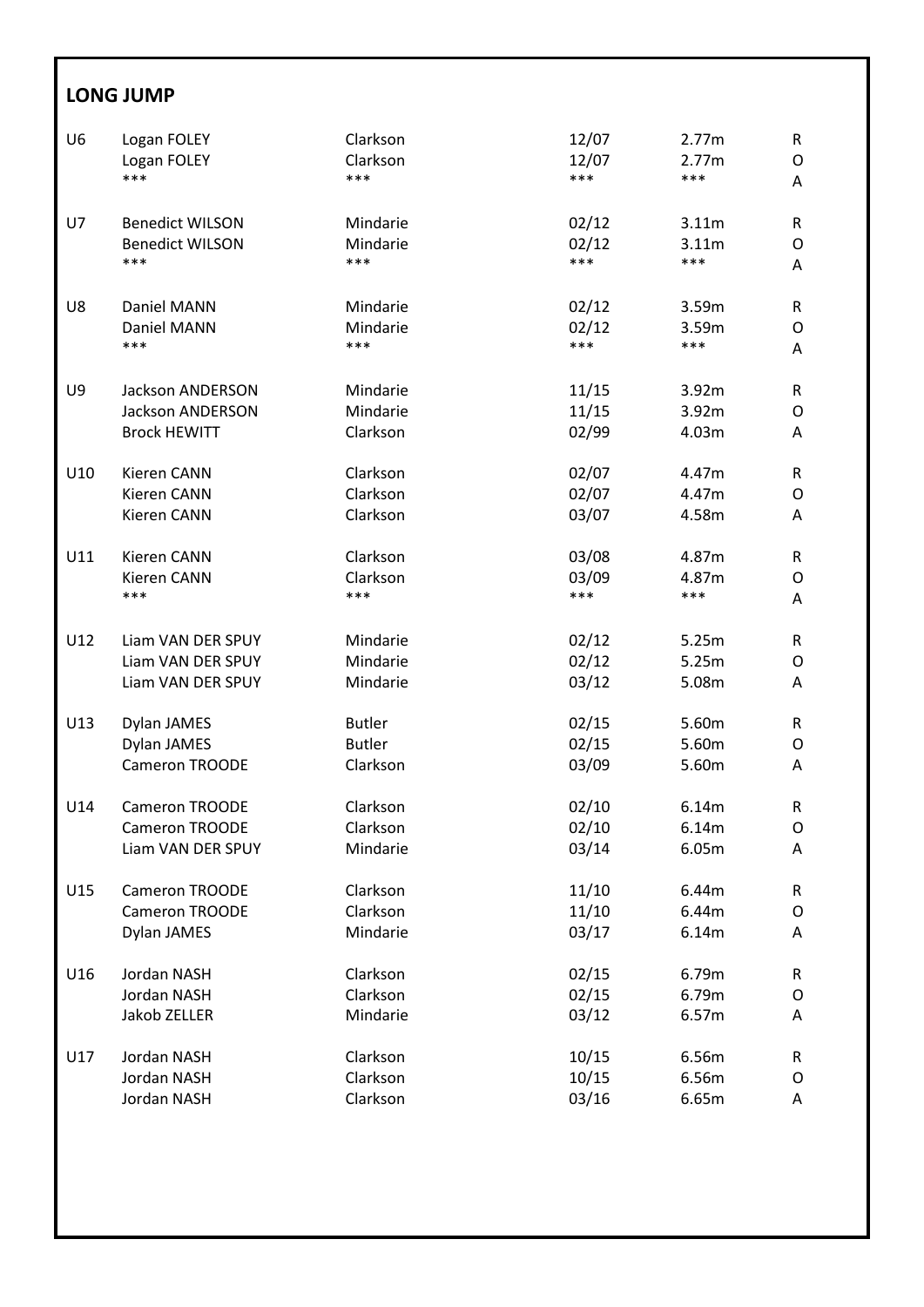### **LONG JUMP**

| U <sub>6</sub> | Logan FOLEY             | Clarkson      | 12/07 | 2.77m | ${\sf R}$ |
|----------------|-------------------------|---------------|-------|-------|-----------|
|                | Logan FOLEY             | Clarkson      | 12/07 | 2.77m | O         |
|                | ***                     | ***           | ***   | ***   | Α         |
|                |                         |               |       |       |           |
| U7             | <b>Benedict WILSON</b>  | Mindarie      | 02/12 | 3.11m | R         |
|                | <b>Benedict WILSON</b>  | Mindarie      | 02/12 | 3.11m | O         |
|                | ***                     | ***           | ***   | ***   | Α         |
|                |                         |               |       |       |           |
| U8             | Daniel MANN             | Mindarie      | 02/12 | 3.59m | R         |
|                | Daniel MANN             | Mindarie      | 02/12 | 3.59m | O         |
|                | ***                     | ***           | ***   | ***   | A         |
|                |                         |               |       |       |           |
| U9             | <b>Jackson ANDERSON</b> | Mindarie      | 11/15 | 3.92m | R         |
|                | <b>Jackson ANDERSON</b> | Mindarie      | 11/15 | 3.92m | O         |
|                | <b>Brock HEWITT</b>     | Clarkson      | 02/99 | 4.03m | Α         |
|                |                         |               |       |       |           |
| U10            | Kieren CANN             | Clarkson      | 02/07 | 4.47m | R         |
|                | Kieren CANN             | Clarkson      | 02/07 | 4.47m | O         |
|                | Kieren CANN             | Clarkson      | 03/07 | 4.58m | Α         |
|                |                         |               |       |       |           |
| U11            | Kieren CANN             | Clarkson      | 03/08 | 4.87m | R         |
|                | Kieren CANN             | Clarkson      | 03/09 | 4.87m | 0         |
|                | ***                     | ***           | ***   | ***   | A         |
|                |                         |               |       |       |           |
| U12            | Liam VAN DER SPUY       | Mindarie      | 02/12 | 5.25m | R         |
|                | Liam VAN DER SPUY       | Mindarie      | 02/12 | 5.25m | 0         |
|                | Liam VAN DER SPUY       | Mindarie      | 03/12 | 5.08m | Α         |
|                |                         |               |       |       |           |
| U13            | Dylan JAMES             | <b>Butler</b> | 02/15 | 5.60m | R         |
|                | Dylan JAMES             | <b>Butler</b> | 02/15 | 5.60m | O         |
|                | Cameron TROODE          | Clarkson      | 03/09 | 5.60m | Α         |
|                |                         |               |       |       |           |
| U14            | <b>Cameron TROODE</b>   | Clarkson      | 02/10 | 6.14m | R         |
|                | Cameron TROODE          | Clarkson      | 02/10 | 6.14m | O         |
|                | Liam VAN DER SPUY       | Mindarie      | 03/14 | 6.05m | А         |
|                |                         |               |       |       |           |
| U15            | Cameron TROODE          | Clarkson      | 11/10 | 6.44m | R         |
|                | Cameron TROODE          | Clarkson      | 11/10 | 6.44m | O         |
|                | Dylan JAMES             | Mindarie      | 03/17 | 6.14m | Α         |
|                |                         |               |       |       |           |
| U16            | Jordan NASH             | Clarkson      | 02/15 | 6.79m | R         |
|                | Jordan NASH             | Clarkson      | 02/15 | 6.79m | O         |
|                | Jakob ZELLER            | Mindarie      | 03/12 | 6.57m | Α         |
|                |                         |               |       |       |           |
| U17            | Jordan NASH             | Clarkson      | 10/15 | 6.56m | R         |
|                | Jordan NASH             | Clarkson      | 10/15 | 6.56m | O         |
|                | Jordan NASH             | Clarkson      | 03/16 | 6.65m | Α         |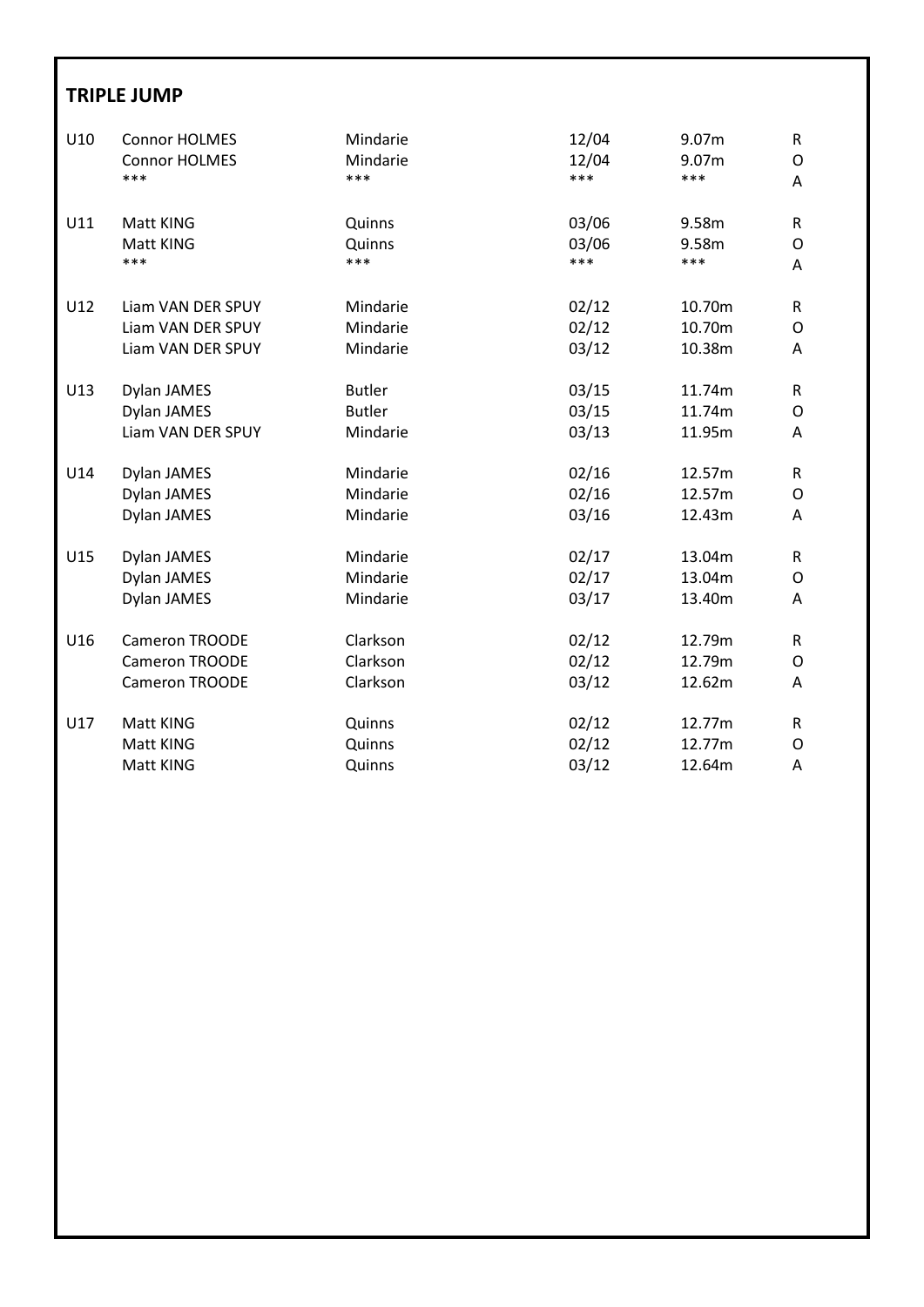#### **TRIPLE JUMP**

| U10 | <b>Connor HOLMES</b>   | Mindarie                | 12/04                 | 9.07m                 | $\mathsf R$  |
|-----|------------------------|-------------------------|-----------------------|-----------------------|--------------|
|     | <b>Connor HOLMES</b>   | Mindarie                | 12/04                 | 9.07m                 | 0            |
|     | ***                    | ***                     | ***                   | ***                   | A            |
| U11 | Matt KING<br>Matt KING | Quinns<br>Quinns<br>*** | 03/06<br>03/06<br>*** | 9.58m<br>9.58m<br>*** | R<br>O       |
|     | ***                    |                         |                       |                       | A            |
| U12 | Liam VAN DER SPUY      | Mindarie                | 02/12                 | 10.70m                | R            |
|     | Liam VAN DER SPUY      | Mindarie                | 02/12                 | 10.70m                | 0            |
|     | Liam VAN DER SPUY      | Mindarie                | 03/12                 | 10.38m                | Α            |
| U13 | Dylan JAMES            | <b>Butler</b>           | 03/15                 | 11.74m                | $\mathsf{R}$ |
|     | Dylan JAMES            | <b>Butler</b>           | 03/15                 | 11.74m                | O            |
|     | Liam VAN DER SPUY      | Mindarie                | 03/13                 | 11.95m                | A            |
| U14 | Dylan JAMES            | Mindarie                | 02/16                 | 12.57m                | R            |
|     | Dylan JAMES            | Mindarie                | 02/16                 | 12.57m                | O            |
|     | Dylan JAMES            | Mindarie                | 03/16                 | 12.43m                | A            |
| U15 | Dylan JAMES            | Mindarie                | 02/17                 | 13.04m                | R            |
|     | Dylan JAMES            | Mindarie                | 02/17                 | 13.04m                | O            |
|     | Dylan JAMES            | Mindarie                | 03/17                 | 13.40m                | A            |
| U16 | Cameron TROODE         | Clarkson                | 02/12                 | 12.79m                | R            |
|     | Cameron TROODE         | Clarkson                | 02/12                 | 12.79m                | O            |
|     | Cameron TROODE         | Clarkson                | 03/12                 | 12.62m                | A            |
| U17 | Matt KING              | Quinns                  | 02/12                 | 12.77m                | R.           |
|     | Matt KING              | Quinns                  | 02/12                 | 12.77m                | O            |
|     | Matt KING              | Quinns                  | 03/12                 | 12.64m                | A            |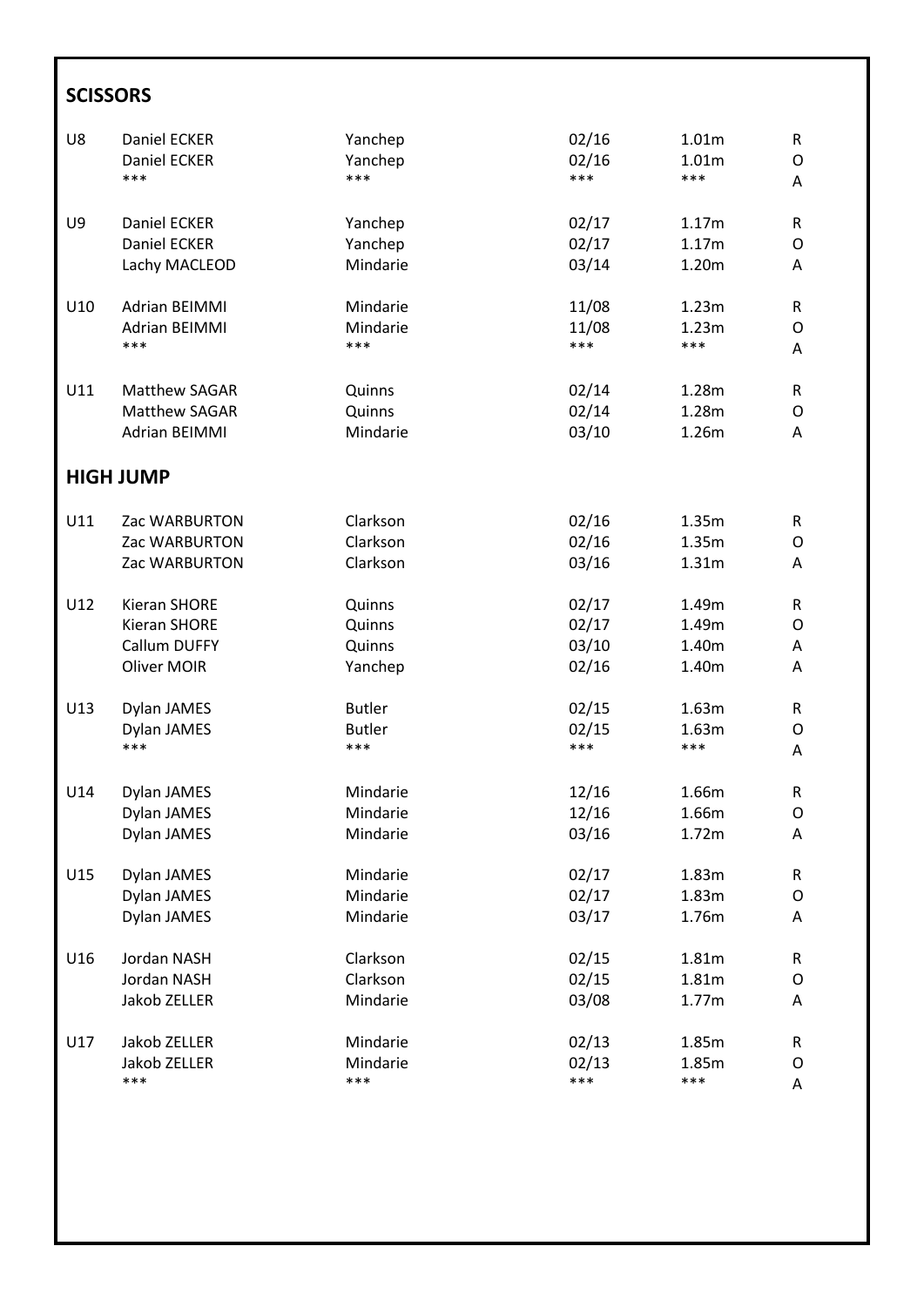### **SCISSORS**

| U8  | Daniel ECKER         | Yanchep       | 02/16 | 1.01m | ${\sf R}$   |
|-----|----------------------|---------------|-------|-------|-------------|
|     | Daniel ECKER         | Yanchep       | 02/16 | 1.01m | O           |
|     | ***                  | ***           | ***   | ***   | Α           |
| U9  | Daniel ECKER         | Yanchep       | 02/17 | 1.17m | R           |
|     | Daniel ECKER         | Yanchep       | 02/17 | 1.17m | O           |
|     | Lachy MACLEOD        | Mindarie      | 03/14 | 1.20m | Α           |
| U10 | <b>Adrian BEIMMI</b> | Mindarie      | 11/08 | 1.23m | R           |
|     | <b>Adrian BEIMMI</b> | Mindarie      | 11/08 | 1.23m | O           |
|     | ***                  | ***           | ***   | ***   | Α           |
| U11 | Matthew SAGAR        | Quinns        | 02/14 | 1.28m | R           |
|     | Matthew SAGAR        | Quinns        | 02/14 | 1.28m | O           |
|     | <b>Adrian BEIMMI</b> | Mindarie      | 03/10 | 1.26m | Α           |
|     | <b>HIGH JUMP</b>     |               |       |       |             |
| U11 | Zac WARBURTON        | Clarkson      | 02/16 | 1.35m | R           |
|     | Zac WARBURTON        | Clarkson      | 02/16 | 1.35m | O           |
|     | Zac WARBURTON        | Clarkson      | 03/16 | 1.31m | Α           |
| U12 | <b>Kieran SHORE</b>  | Quinns        | 02/17 | 1.49m | R           |
|     | <b>Kieran SHORE</b>  | Quinns        | 02/17 | 1.49m | O           |
|     | Callum DUFFY         | Quinns        | 03/10 | 1.40m | Α           |
|     | Oliver MOIR          | Yanchep       | 02/16 | 1.40m | A           |
| U13 | Dylan JAMES          | <b>Butler</b> | 02/15 | 1.63m | R           |
|     | Dylan JAMES          | <b>Butler</b> | 02/15 | 1.63m | O           |
|     | ***                  | ***           | ***   | ***   | A           |
| U14 | Dylan JAMES          | Mindarie      | 12/16 | 1.66m | $\mathsf R$ |
|     | Dylan JAMES          | Mindarie      | 12/16 | 1.66m | O           |
|     | Dylan JAMES          | Mindarie      | 03/16 | 1.72m | A           |
| U15 | Dylan JAMES          | Mindarie      | 02/17 | 1.83m | R           |
|     | Dylan JAMES          | Mindarie      | 02/17 | 1.83m | O           |
|     | Dylan JAMES          | Mindarie      | 03/17 | 1.76m | Α           |
| U16 | Jordan NASH          | Clarkson      | 02/15 | 1.81m | R           |
|     | Jordan NASH          | Clarkson      | 02/15 | 1.81m | O           |
|     | Jakob ZELLER         | Mindarie      | 03/08 | 1.77m | Α           |
| U17 | Jakob ZELLER         | Mindarie      | 02/13 | 1.85m | R           |
|     | Jakob ZELLER         | Mindarie      | 02/13 | 1.85m | O           |
|     | ***                  | ***           | ***   | ***   | Α           |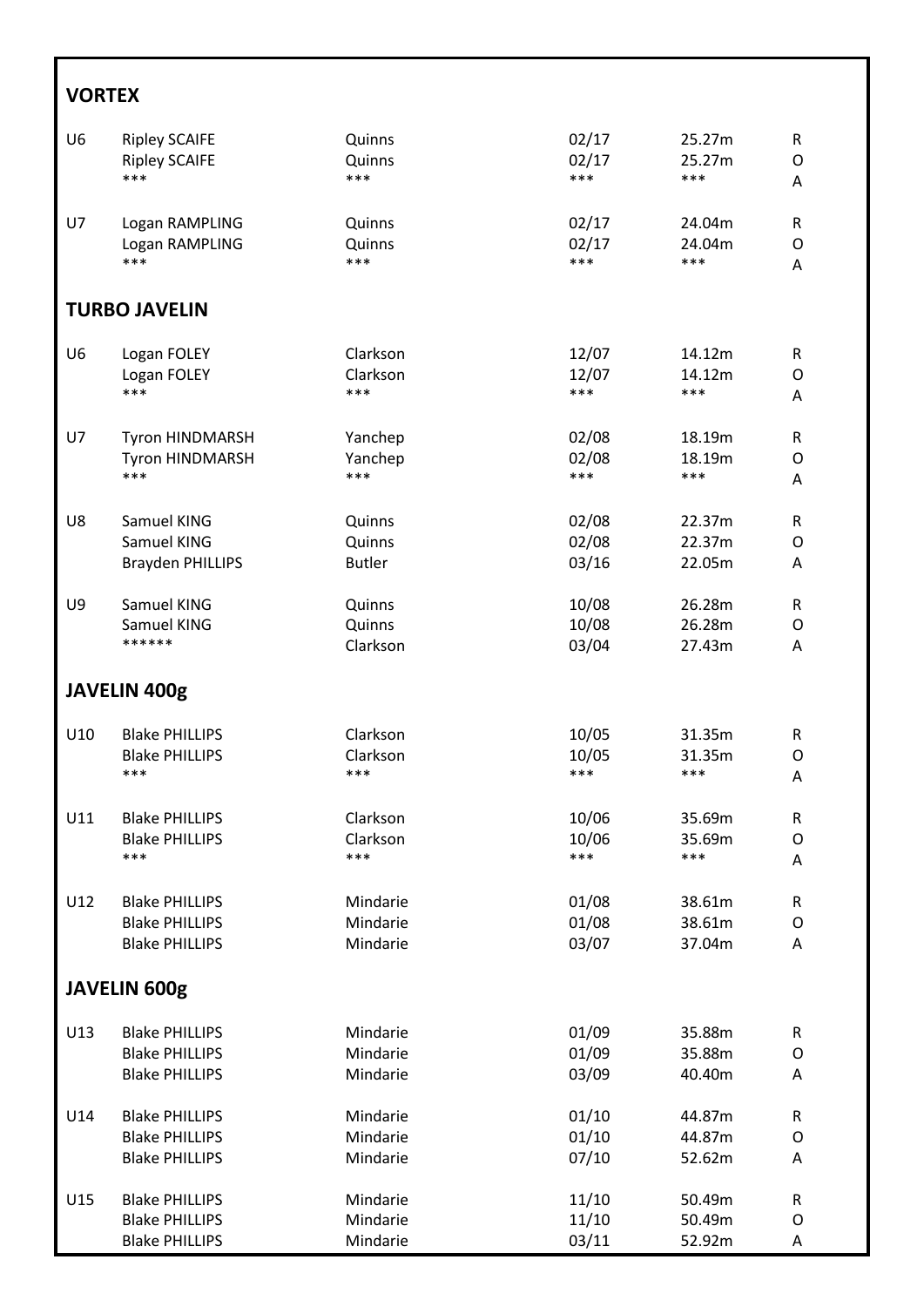### **VORTEX**

| U <sub>6</sub>       | <b>Ripley SCAIFE</b>    | Quinns        | 02/17 | 25.27m | ${\sf R}$    |  |  |
|----------------------|-------------------------|---------------|-------|--------|--------------|--|--|
|                      | <b>Ripley SCAIFE</b>    | Quinns        | 02/17 | 25.27m | $\circ$      |  |  |
|                      | ***                     | ***           | ***   | ***    | A            |  |  |
| U7                   | Logan RAMPLING          | Quinns        | 02/17 | 24.04m | ${\sf R}$    |  |  |
|                      | Logan RAMPLING          | Quinns        | 02/17 | 24.04m | $\circ$      |  |  |
|                      | ***                     | ***           | ***   | ***    | A            |  |  |
| <b>TURBO JAVELIN</b> |                         |               |       |        |              |  |  |
| U <sub>6</sub>       | Logan FOLEY             | Clarkson      | 12/07 | 14.12m | $\mathsf{R}$ |  |  |
|                      | Logan FOLEY             | Clarkson      | 12/07 | 14.12m | O            |  |  |
|                      | ***                     | ***           | ***   | ***    | A            |  |  |
| <b>U7</b>            | Tyron HINDMARSH         | Yanchep       | 02/08 | 18.19m | R            |  |  |
|                      | Tyron HINDMARSH         | Yanchep       | 02/08 | 18.19m | $\circ$      |  |  |
|                      | ***                     | ***           | ***   | ***    | A            |  |  |
| U8                   | Samuel KING             | Quinns        | 02/08 | 22.37m | $\mathsf R$  |  |  |
|                      | Samuel KING             | Quinns        | 02/08 | 22.37m | O            |  |  |
|                      | <b>Brayden PHILLIPS</b> | <b>Butler</b> | 03/16 | 22.05m | A            |  |  |
| U9                   | Samuel KING             | Quinns        | 10/08 | 26.28m | $\mathsf R$  |  |  |
|                      | Samuel KING             | Quinns        | 10/08 | 26.28m | O            |  |  |
|                      | ******                  | Clarkson      | 03/04 | 27.43m | Α            |  |  |
|                      | <b>JAVELIN 400g</b>     |               |       |        |              |  |  |
| U10                  | <b>Blake PHILLIPS</b>   | Clarkson      | 10/05 | 31.35m | $\mathsf R$  |  |  |
|                      | <b>Blake PHILLIPS</b>   | Clarkson      | 10/05 | 31.35m | $\circ$      |  |  |
|                      | ***                     | ***           | ***   | ***    | A            |  |  |
| U11                  | <b>Blake PHILLIPS</b>   | Clarkson      | 10/06 | 35.69m | R            |  |  |
|                      | <b>Blake PHILLIPS</b>   | Clarkson      | 10/06 | 35.69m | $\mathsf{O}$ |  |  |
|                      | ***                     | ***           | ***   | ***    | A            |  |  |
| U12                  | <b>Blake PHILLIPS</b>   | Mindarie      | 01/08 | 38.61m | ${\sf R}$    |  |  |
|                      | <b>Blake PHILLIPS</b>   | Mindarie      | 01/08 | 38.61m | O            |  |  |
|                      | <b>Blake PHILLIPS</b>   | Mindarie      | 03/07 | 37.04m | Α            |  |  |
|                      | <b>JAVELIN 600g</b>     |               |       |        |              |  |  |
| U13                  | <b>Blake PHILLIPS</b>   | Mindarie      | 01/09 | 35.88m | ${\sf R}$    |  |  |
|                      | <b>Blake PHILLIPS</b>   | Mindarie      | 01/09 | 35.88m | O            |  |  |
|                      | <b>Blake PHILLIPS</b>   | Mindarie      | 03/09 | 40.40m | A            |  |  |
| U14                  | <b>Blake PHILLIPS</b>   | Mindarie      | 01/10 | 44.87m | ${\sf R}$    |  |  |
|                      | <b>Blake PHILLIPS</b>   | Mindarie      | 01/10 | 44.87m | O            |  |  |
|                      | <b>Blake PHILLIPS</b>   | Mindarie      | 07/10 | 52.62m | Α            |  |  |
| U15                  | <b>Blake PHILLIPS</b>   | Mindarie      | 11/10 | 50.49m | ${\sf R}$    |  |  |
|                      | <b>Blake PHILLIPS</b>   | Mindarie      | 11/10 | 50.49m | O            |  |  |
|                      | <b>Blake PHILLIPS</b>   | Mindarie      | 03/11 | 52.92m | Α            |  |  |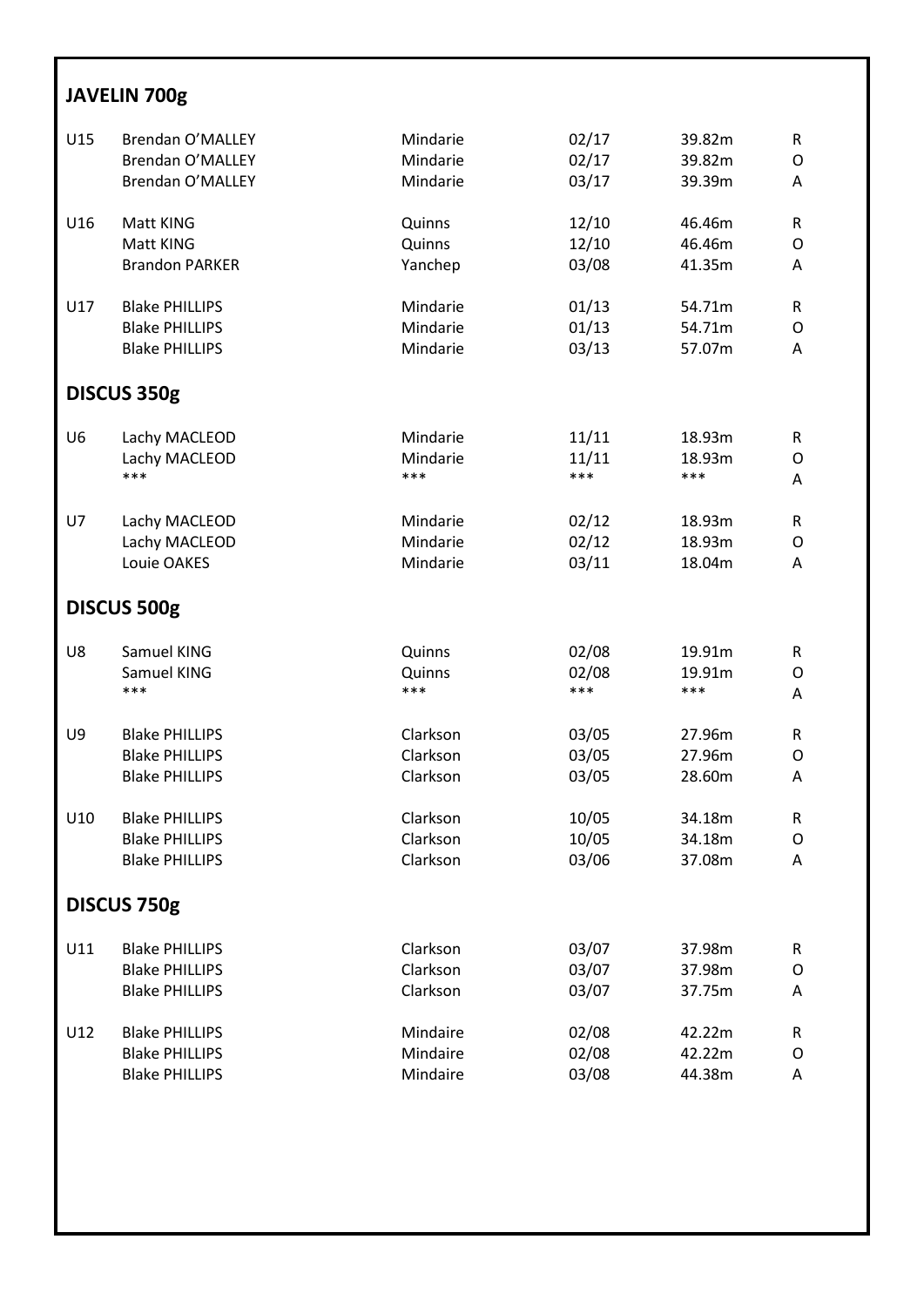#### **JAVELIN 700g**

| U15            | Brendan O'MALLEY        | Mindarie | 02/17 | 39.82m | R |  |  |
|----------------|-------------------------|----------|-------|--------|---|--|--|
|                | Brendan O'MALLEY        | Mindarie | 02/17 | 39.82m | O |  |  |
|                | <b>Brendan O'MALLEY</b> | Mindarie | 03/17 | 39.39m | Α |  |  |
| U16            | Matt KING               | Quinns   | 12/10 | 46.46m | R |  |  |
|                | Matt KING               | Quinns   | 12/10 | 46.46m | O |  |  |
|                | <b>Brandon PARKER</b>   | Yanchep  | 03/08 | 41.35m | Α |  |  |
| U17            | <b>Blake PHILLIPS</b>   | Mindarie | 01/13 | 54.71m | R |  |  |
|                | <b>Blake PHILLIPS</b>   | Mindarie | 01/13 | 54.71m | O |  |  |
|                | <b>Blake PHILLIPS</b>   | Mindarie | 03/13 | 57.07m | A |  |  |
|                | DISCUS 350g             |          |       |        |   |  |  |
| U <sub>6</sub> | Lachy MACLEOD           | Mindarie | 11/11 | 18.93m | R |  |  |
|                | Lachy MACLEOD           | Mindarie | 11/11 | 18.93m | O |  |  |
|                | ***                     | ***      | ***   | ***    | Α |  |  |
| U7             | Lachy MACLEOD           | Mindarie | 02/12 | 18.93m | R |  |  |
|                | Lachy MACLEOD           | Mindarie | 02/12 | 18.93m | O |  |  |
|                | Louie OAKES             | Mindarie | 03/11 | 18.04m | A |  |  |
|                | DISCUS 500g             |          |       |        |   |  |  |
| U8             | Samuel KING             | Quinns   | 02/08 | 19.91m | R |  |  |
|                | Samuel KING             | Quinns   | 02/08 | 19.91m | O |  |  |
|                | ***                     | ***      | ***   | ***    | Α |  |  |
| U9             | <b>Blake PHILLIPS</b>   | Clarkson | 03/05 | 27.96m | R |  |  |
|                | <b>Blake PHILLIPS</b>   | Clarkson | 03/05 | 27.96m | O |  |  |
|                | <b>Blake PHILLIPS</b>   | Clarkson | 03/05 | 28.60m | A |  |  |
| U10            | <b>Blake PHILLIPS</b>   | Clarkson | 10/05 | 34.18m | R |  |  |
|                | <b>Blake PHILLIPS</b>   | Clarkson | 10/05 | 34.18m | O |  |  |
|                | <b>Blake PHILLIPS</b>   | Clarkson | 03/06 | 37.08m | A |  |  |
|                | DISCUS 750g             |          |       |        |   |  |  |
| U11            | <b>Blake PHILLIPS</b>   | Clarkson | 03/07 | 37.98m | R |  |  |
|                | <b>Blake PHILLIPS</b>   | Clarkson | 03/07 | 37.98m | O |  |  |
|                | <b>Blake PHILLIPS</b>   | Clarkson | 03/07 | 37.75m | Α |  |  |
| U12            | <b>Blake PHILLIPS</b>   | Mindaire | 02/08 | 42.22m | R |  |  |
|                | <b>Blake PHILLIPS</b>   | Mindaire | 02/08 | 42.22m | O |  |  |
|                | <b>Blake PHILLIPS</b>   | Mindaire | 03/08 | 44.38m | Α |  |  |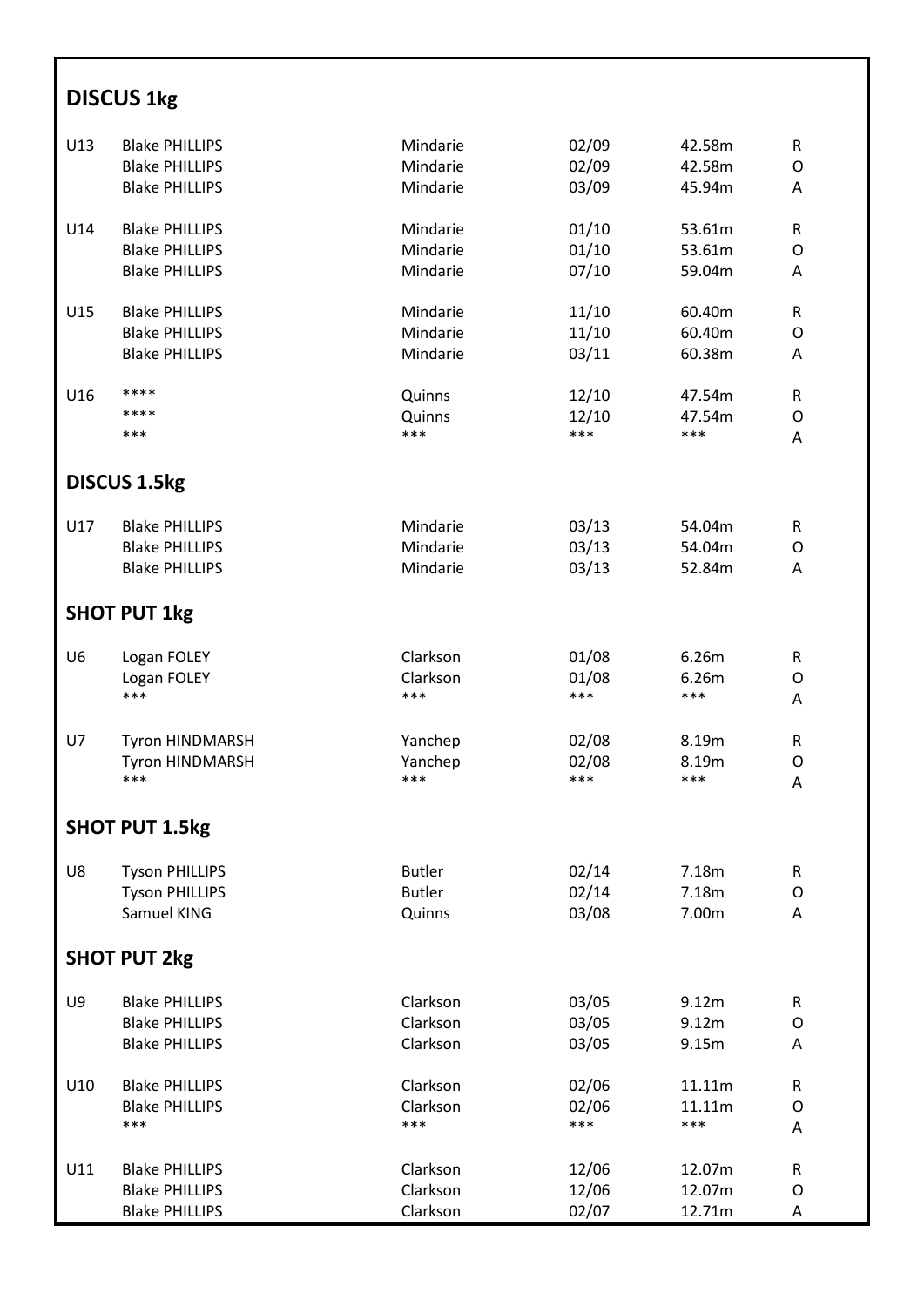## **DISCUS 1kg**

| U13            | <b>Blake PHILLIPS</b>  | Mindarie      | 02/09 | 42.58m | $\mathsf{R}$ |
|----------------|------------------------|---------------|-------|--------|--------------|
|                | <b>Blake PHILLIPS</b>  | Mindarie      | 02/09 | 42.58m | O            |
|                | <b>Blake PHILLIPS</b>  | Mindarie      | 03/09 | 45.94m | A            |
|                |                        |               |       |        |              |
| U14            | <b>Blake PHILLIPS</b>  | Mindarie      | 01/10 | 53.61m | R            |
|                | <b>Blake PHILLIPS</b>  | Mindarie      | 01/10 | 53.61m | 0            |
|                | <b>Blake PHILLIPS</b>  | Mindarie      | 07/10 | 59.04m | A            |
|                |                        |               |       |        |              |
| U15            | <b>Blake PHILLIPS</b>  | Mindarie      | 11/10 | 60.40m | R            |
|                | <b>Blake PHILLIPS</b>  | Mindarie      | 11/10 | 60.40m | 0            |
|                | <b>Blake PHILLIPS</b>  | Mindarie      | 03/11 | 60.38m | A            |
| U16            | ****                   | Quinns        | 12/10 | 47.54m | R            |
|                | ****                   | Quinns        | 12/10 | 47.54m | O            |
|                | ***                    | ***           | ***   | ***    | A            |
|                |                        |               |       |        |              |
|                | <b>DISCUS 1.5kg</b>    |               |       |        |              |
| U17            | <b>Blake PHILLIPS</b>  | Mindarie      | 03/13 | 54.04m | R            |
|                | <b>Blake PHILLIPS</b>  | Mindarie      | 03/13 | 54.04m | O            |
|                | <b>Blake PHILLIPS</b>  | Mindarie      | 03/13 | 52.84m | A            |
|                |                        |               |       |        |              |
|                | <b>SHOT PUT 1kg</b>    |               |       |        |              |
| U <sub>6</sub> | Logan FOLEY            | Clarkson      | 01/08 | 6.26m  | $\mathsf{R}$ |
|                | Logan FOLEY            | Clarkson      | 01/08 | 6.26m  | O            |
|                | ***                    | ***           | ***   | ***    | A            |
|                |                        |               |       |        |              |
| U7             | <b>Tyron HINDMARSH</b> | Yanchep       | 02/08 | 8.19m  | R            |
|                | Tyron HINDMARSH        | Yanchep       | 02/08 | 8.19m  | 0            |
|                | ***                    | ***           | ***   | ***    | Α            |
|                | <b>SHOT PUT 1.5kg</b>  |               |       |        |              |
|                |                        |               |       |        |              |
| U8             | <b>Tyson PHILLIPS</b>  | <b>Butler</b> | 02/14 | 7.18m  | R            |
|                | <b>Tyson PHILLIPS</b>  | <b>Butler</b> | 02/14 | 7.18m  | O            |
|                | Samuel KING            | Quinns        | 03/08 | 7.00m  | Α            |
|                | <b>SHOT PUT 2kg</b>    |               |       |        |              |
|                |                        | Clarkson      |       |        |              |
| U9             | <b>Blake PHILLIPS</b>  |               | 03/05 | 9.12m  | $\mathsf{R}$ |
|                | <b>Blake PHILLIPS</b>  | Clarkson      | 03/05 | 9.12m  | O            |
|                | <b>Blake PHILLIPS</b>  | Clarkson      | 03/05 | 9.15m  | A            |
| U10            | <b>Blake PHILLIPS</b>  | Clarkson      | 02/06 | 11.11m | R            |
|                | <b>Blake PHILLIPS</b>  | Clarkson      | 02/06 | 11.11m | 0            |
|                | ***                    | ***           | ***   | ***    | Α            |
|                |                        |               |       |        |              |
| U11            | <b>Blake PHILLIPS</b>  | Clarkson      | 12/06 | 12.07m | R            |
|                | <b>Blake PHILLIPS</b>  | Clarkson      | 12/06 | 12.07m | 0            |
|                | <b>Blake PHILLIPS</b>  | Clarkson      | 02/07 | 12.71m | Α            |